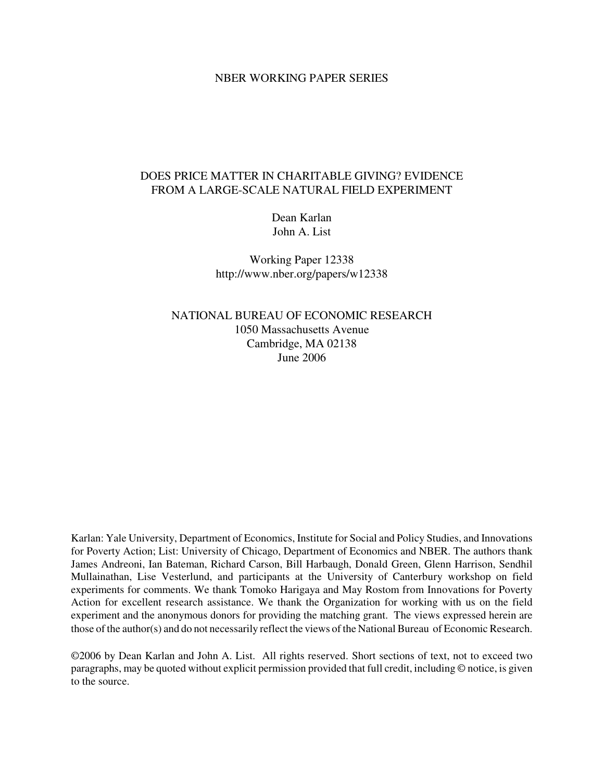#### NBER WORKING PAPER SERIES

## DOES PRICE MATTER IN CHARITABLE GIVING? EVIDENCE FROM A LARGE-SCALE NATURAL FIELD EXPERIMENT

Dean Karlan John A. List

Working Paper 12338 http://www.nber.org/papers/w12338

NATIONAL BUREAU OF ECONOMIC RESEARCH 1050 Massachusetts Avenue Cambridge, MA 02138 June 2006

Karlan: Yale University, Department of Economics, Institute for Social and Policy Studies, and Innovations for Poverty Action; List: University of Chicago, Department of Economics and NBER. The authors thank James Andreoni, Ian Bateman, Richard Carson, Bill Harbaugh, Donald Green, Glenn Harrison, Sendhil Mullainathan, Lise Vesterlund, and participants at the University of Canterbury workshop on field experiments for comments. We thank Tomoko Harigaya and May Rostom from Innovations for Poverty Action for excellent research assistance. We thank the Organization for working with us on the field experiment and the anonymous donors for providing the matching grant. The views expressed herein are those of the author(s) and do not necessarily reflect the views of the National Bureau of Economic Research.

©2006 by Dean Karlan and John A. List. All rights reserved. Short sections of text, not to exceed two paragraphs, may be quoted without explicit permission provided that full credit, including © notice, is given to the source.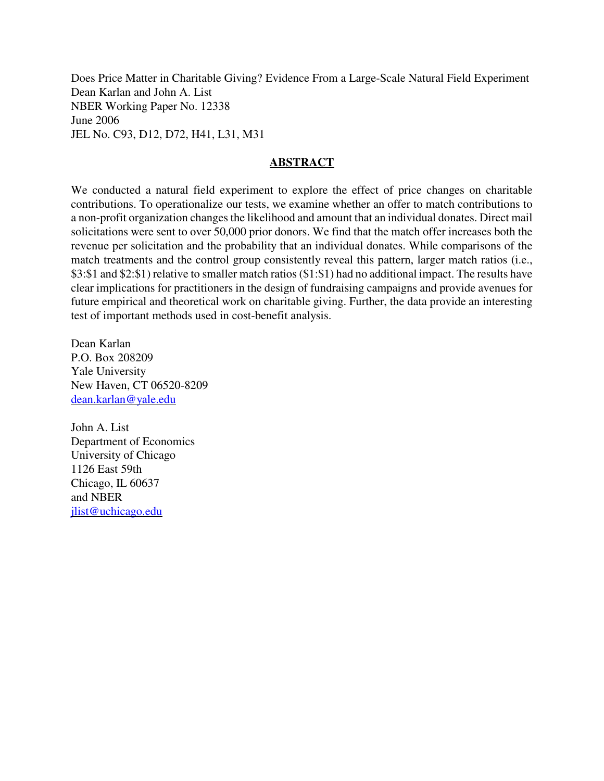Does Price Matter in Charitable Giving? Evidence From a Large-Scale Natural Field Experiment Dean Karlan and John A. List NBER Working Paper No. 12338 June 2006 JEL No. C93, D12, D72, H41, L31, M31

## **ABSTRACT**

We conducted a natural field experiment to explore the effect of price changes on charitable contributions. To operationalize our tests, we examine whether an offer to match contributions to a non-profit organization changes the likelihood and amount that an individual donates. Direct mail solicitations were sent to over 50,000 prior donors. We find that the match offer increases both the revenue per solicitation and the probability that an individual donates. While comparisons of the match treatments and the control group consistently reveal this pattern, larger match ratios (i.e., \$3:\$1 and \$2:\$1) relative to smaller match ratios(\$1:\$1) had no additional impact. The results have clear implications for practitioners in the design of fundraising campaigns and provide avenues for future empirical and theoretical work on charitable giving. Further, the data provide an interesting test of important methods used in cost-benefit analysis.

Dean Karlan P.O. Box 208209 Yale University New Haven, CT 06520-8209 dean.karlan@yale.edu

John A. List Department of Economics University of Chicago 1126 East 59th Chicago, IL 60637 and NBER jlist@uchicago.edu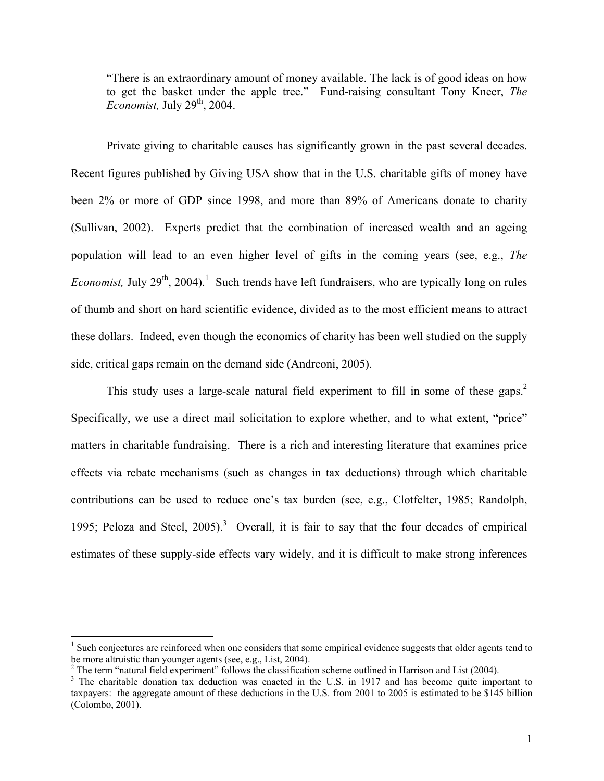"There is an extraordinary amount of money available. The lack is of good ideas on how to get the basket under the apple tree." Fund-raising consultant Tony Kneer, *The Economist*, July 29<sup>th</sup>, 2004.

 Private giving to charitable causes has significantly grown in the past several decades. Recent figures published by Giving USA show that in the U.S. charitable gifts of money have been 2% or more of GDP since 1998, and more than 89% of Americans donate to charity (Sullivan, 2002). Experts predict that the combination of increased wealth and an ageing population will lead to an even higher level of gifts in the coming years (see, e.g., *The Economist*, July 29<sup>th</sup>, 2004).<sup>1</sup> Such trends have left fundraisers, who are typically long on rules of thumb and short on hard scientific evidence, divided as to the most efficient means to attract these dollars. Indeed, even though the economics of charity has been well studied on the supply side, critical gaps remain on the demand side (Andreoni, 2005).

This study uses a large-scale natural field experiment to fill in some of these gaps.<sup>2</sup> Specifically, we use a direct mail solicitation to explore whether, and to what extent, "price" matters in charitable fundraising. There is a rich and interesting literature that examines price effects via rebate mechanisms (such as changes in tax deductions) through which charitable contributions can be used to reduce one's tax burden (see, e.g., Clotfelter, 1985; Randolph, 1995; Peloza and Steel,  $2005$ ).<sup>3</sup> Overall, it is fair to say that the four decades of empirical estimates of these supply-side effects vary widely, and it is difficult to make strong inferences

1

<sup>&</sup>lt;sup>1</sup> Such conjectures are reinforced when one considers that some empirical evidence suggests that older agents tend to be more altruistic than younger agents (see, e.g., List, 2004).

<sup>&</sup>lt;sup>2</sup> The term "natural field experiment" follows the classification scheme outlined in Harrison and List (2004).

<sup>&</sup>lt;sup>3</sup> The charitable donation tax deduction was enacted in the U.S. in 1917 and has become quite important to taxpayers: the aggregate amount of these deductions in the U.S. from 2001 to 2005 is estimated to be \$145 billion (Colombo, 2001).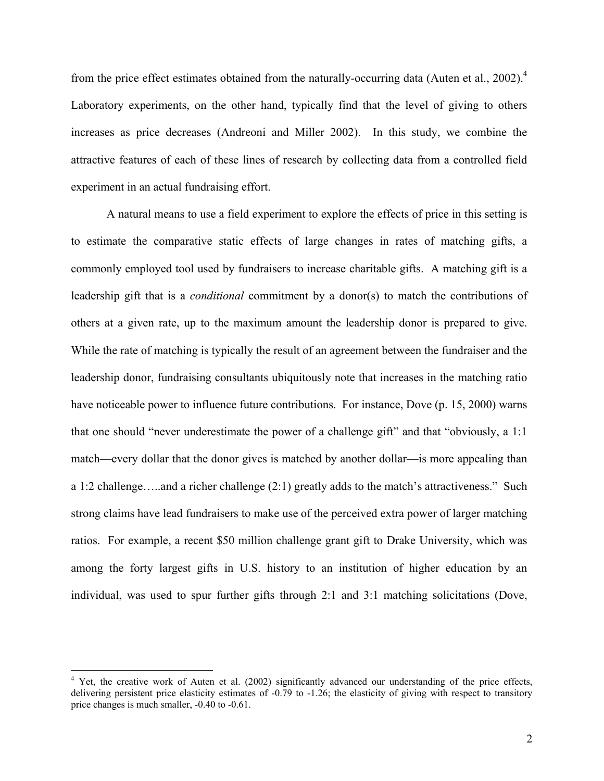from the price effect estimates obtained from the naturally-occurring data (Auten et al., 2002).<sup>4</sup> Laboratory experiments, on the other hand, typically find that the level of giving to others increases as price decreases (Andreoni and Miller 2002). In this study, we combine the attractive features of each of these lines of research by collecting data from a controlled field experiment in an actual fundraising effort.

A natural means to use a field experiment to explore the effects of price in this setting is to estimate the comparative static effects of large changes in rates of matching gifts, a commonly employed tool used by fundraisers to increase charitable gifts. A matching gift is a leadership gift that is a *conditional* commitment by a donor(s) to match the contributions of others at a given rate, up to the maximum amount the leadership donor is prepared to give. While the rate of matching is typically the result of an agreement between the fundraiser and the leadership donor, fundraising consultants ubiquitously note that increases in the matching ratio have noticeable power to influence future contributions. For instance, Dove (p. 15, 2000) warns that one should "never underestimate the power of a challenge gift" and that "obviously, a 1:1 match—every dollar that the donor gives is matched by another dollar—is more appealing than a 1:2 challenge…..and a richer challenge (2:1) greatly adds to the match's attractiveness." Such strong claims have lead fundraisers to make use of the perceived extra power of larger matching ratios. For example, a recent \$50 million challenge grant gift to Drake University, which was among the forty largest gifts in U.S. history to an institution of higher education by an individual, was used to spur further gifts through 2:1 and 3:1 matching solicitations (Dove,

<sup>&</sup>lt;sup>4</sup> Yet, the creative work of Auten et al. (2002) significantly advanced our understanding of the price effects, delivering persistent price elasticity estimates of -0.79 to -1.26; the elasticity of giving with respect to transitory price changes is much smaller, -0.40 to -0.61.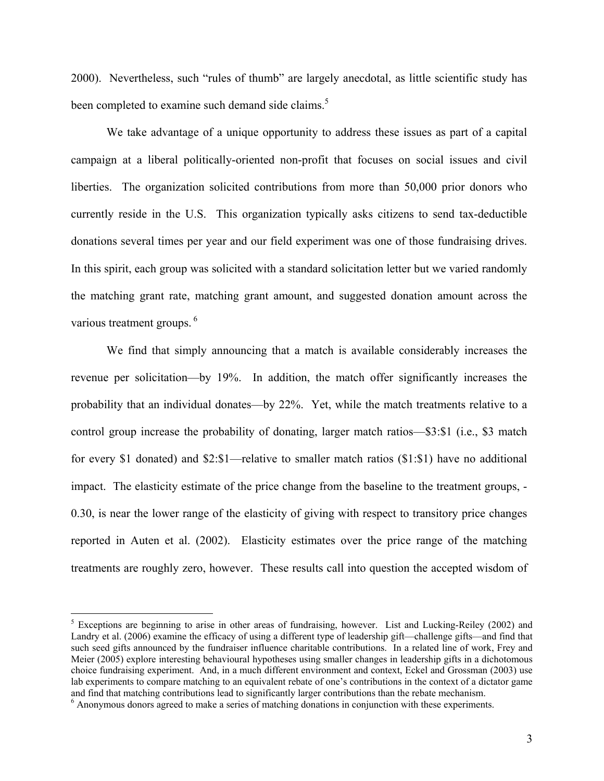2000). Nevertheless, such "rules of thumb" are largely anecdotal, as little scientific study has been completed to examine such demand side claims.<sup>5</sup>

We take advantage of a unique opportunity to address these issues as part of a capital campaign at a liberal politically-oriented non-profit that focuses on social issues and civil liberties. The organization solicited contributions from more than 50,000 prior donors who currently reside in the U.S. This organization typically asks citizens to send tax-deductible donations several times per year and our field experiment was one of those fundraising drives. In this spirit, each group was solicited with a standard solicitation letter but we varied randomly the matching grant rate, matching grant amount, and suggested donation amount across the various treatment groups.<sup>6</sup>

We find that simply announcing that a match is available considerably increases the revenue per solicitation—by 19%. In addition, the match offer significantly increases the probability that an individual donates—by 22%. Yet, while the match treatments relative to a control group increase the probability of donating, larger match ratios—\$3:\$1 (i.e., \$3 match for every \$1 donated) and \$2:\$1—relative to smaller match ratios (\$1:\$1) have no additional impact. The elasticity estimate of the price change from the baseline to the treatment groups, - 0.30, is near the lower range of the elasticity of giving with respect to transitory price changes reported in Auten et al. (2002). Elasticity estimates over the price range of the matching treatments are roughly zero, however. These results call into question the accepted wisdom of

<sup>&</sup>lt;sup>5</sup> Exceptions are beginning to arise in other areas of fundraising, however. List and Lucking-Reiley (2002) and Landry et al. (2006) examine the efficacy of using a different type of leadership gift—challenge gifts—and find that such seed gifts announced by the fundraiser influence charitable contributions. In a related line of work, Frey and Meier (2005) explore interesting behavioural hypotheses using smaller changes in leadership gifts in a dichotomous choice fundraising experiment. And, in a much different environment and context, Eckel and Grossman (2003) use lab experiments to compare matching to an equivalent rebate of one's contributions in the context of a dictator game and find that matching contributions lead to significantly larger contributions than the rebate mechanism. 6

Anonymous donors agreed to make a series of matching donations in conjunction with these experiments.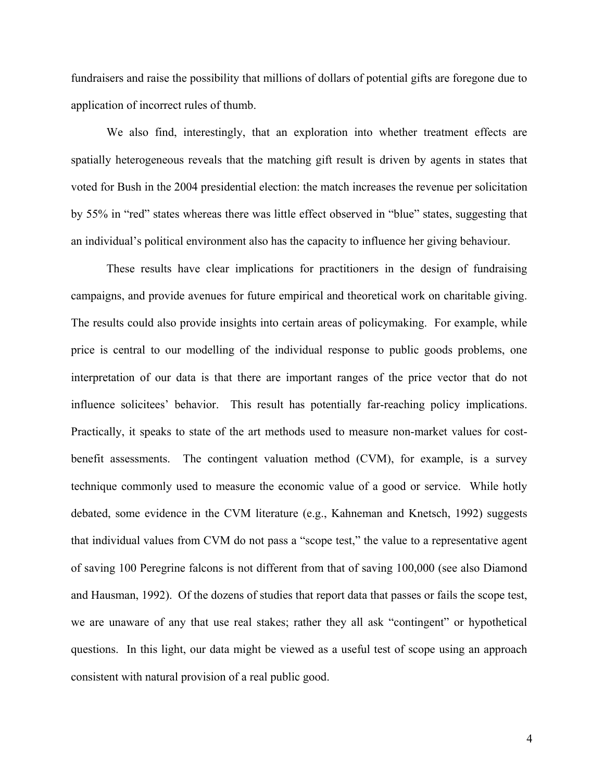fundraisers and raise the possibility that millions of dollars of potential gifts are foregone due to application of incorrect rules of thumb.

We also find, interestingly, that an exploration into whether treatment effects are spatially heterogeneous reveals that the matching gift result is driven by agents in states that voted for Bush in the 2004 presidential election: the match increases the revenue per solicitation by 55% in "red" states whereas there was little effect observed in "blue" states, suggesting that an individual's political environment also has the capacity to influence her giving behaviour.

These results have clear implications for practitioners in the design of fundraising campaigns, and provide avenues for future empirical and theoretical work on charitable giving. The results could also provide insights into certain areas of policymaking. For example, while price is central to our modelling of the individual response to public goods problems, one interpretation of our data is that there are important ranges of the price vector that do not influence solicitees' behavior. This result has potentially far-reaching policy implications. Practically, it speaks to state of the art methods used to measure non-market values for costbenefit assessments. The contingent valuation method (CVM), for example, is a survey technique commonly used to measure the economic value of a good or service. While hotly debated, some evidence in the CVM literature (e.g., Kahneman and Knetsch, 1992) suggests that individual values from CVM do not pass a "scope test," the value to a representative agent of saving 100 Peregrine falcons is not different from that of saving 100,000 (see also Diamond and Hausman, 1992). Of the dozens of studies that report data that passes or fails the scope test, we are unaware of any that use real stakes; rather they all ask "contingent" or hypothetical questions. In this light, our data might be viewed as a useful test of scope using an approach consistent with natural provision of a real public good.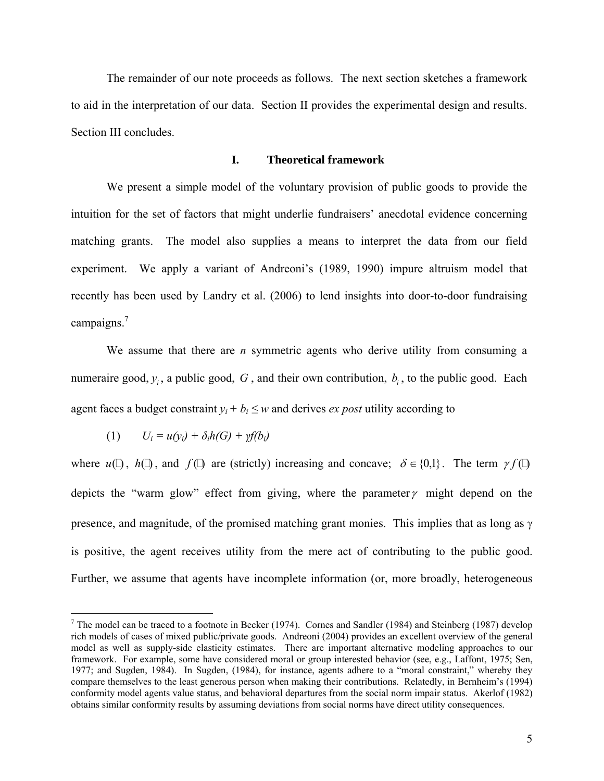The remainder of our note proceeds as follows. The next section sketches a framework to aid in the interpretation of our data. Section II provides the experimental design and results. Section III concludes.

#### **I. Theoretical framework**

 We present a simple model of the voluntary provision of public goods to provide the intuition for the set of factors that might underlie fundraisers' anecdotal evidence concerning matching grants. The model also supplies a means to interpret the data from our field experiment. We apply a variant of Andreoni's (1989, 1990) impure altruism model that recently has been used by Landry et al. (2006) to lend insights into door-to-door fundraising campaigns.<sup>7</sup>

We assume that there are *n* symmetric agents who derive utility from consuming a numeraire good,  $y_i$ , a public good, G, and their own contribution,  $b_i$ , to the public good. Each agent faces a budget constraint  $y_i + b_i \leq w$  and derives *ex post* utility according to

$$
(1) \qquad U_i = u(y_i) + \delta_i h(G) + \gamma f(b_i)
$$

 $\overline{a}$ 

where  $u($ ,  $h($ ), and  $f($ ) are (strictly) increasing and concave;  $\delta \in \{0,1\}$ . The term  $\gamma f($ depicts the "warm glow" effect from giving, where the parameter  $\gamma$  might depend on the presence, and magnitude, of the promised matching grant monies. This implies that as long as γ is positive, the agent receives utility from the mere act of contributing to the public good. Further, we assume that agents have incomplete information (or, more broadly, heterogeneous

<sup>&</sup>lt;sup>7</sup> The model can be traced to a footnote in Becker (1974). Cornes and Sandler (1984) and Steinberg (1987) develop rich models of cases of mixed public/private goods. Andreoni (2004) provides an excellent overview of the general model as well as supply-side elasticity estimates. There are important alternative modeling approaches to our framework. For example, some have considered moral or group interested behavior (see, e.g., Laffont, 1975; Sen, 1977; and Sugden, 1984). In Sugden, (1984), for instance, agents adhere to a "moral constraint," whereby they compare themselves to the least generous person when making their contributions. Relatedly, in Bernheim's (1994) conformity model agents value status, and behavioral departures from the social norm impair status. Akerlof (1982) obtains similar conformity results by assuming deviations from social norms have direct utility consequences.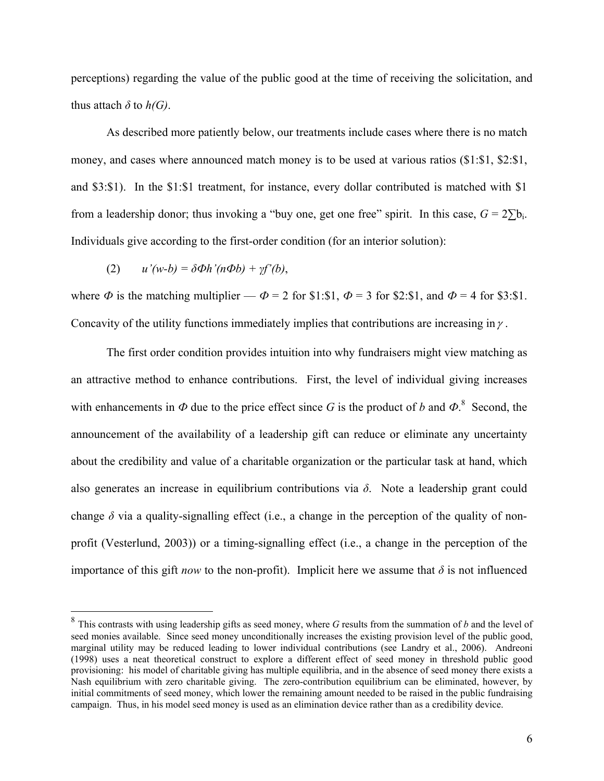perceptions) regarding the value of the public good at the time of receiving the solicitation, and thus attach  $\delta$  to  $h(G)$ .

As described more patiently below, our treatments include cases where there is no match money, and cases where announced match money is to be used at various ratios (\$1:\$1, \$2:\$1, and \$3:\$1). In the \$1:\$1 treatment, for instance, every dollar contributed is matched with \$1 from a leadership donor; thus invoking a "buy one, get one free" spirit. In this case,  $G = 2\Sigma b_i$ . Individuals give according to the first-order condition (for an interior solution):

(2) 
$$
u'(w-b) = \delta \Phi h'(n\Phi b) + \gamma f'(b),
$$

 $\overline{a}$ 

where  $\Phi$  is the matching multiplier —  $\Phi = 2$  for \$1:\$1,  $\Phi = 3$  for \$2:\$1, and  $\Phi = 4$  for \$3:\$1. Concavity of the utility functions immediately implies that contributions are increasing in  $\gamma$ .

The first order condition provides intuition into why fundraisers might view matching as an attractive method to enhance contributions. First, the level of individual giving increases with enhancements in  $\Phi$  due to the price effect since *G* is the product of *b* and  $\Phi$ .<sup>8</sup> Second, the announcement of the availability of a leadership gift can reduce or eliminate any uncertainty about the credibility and value of a charitable organization or the particular task at hand, which also generates an increase in equilibrium contributions via *δ*. Note a leadership grant could change  $\delta$  via a quality-signalling effect (i.e., a change in the perception of the quality of nonprofit (Vesterlund, 2003)) or a timing-signalling effect (i.e., a change in the perception of the importance of this gift *now* to the non-profit). Implicit here we assume that  $\delta$  is not influenced

<sup>8</sup> This contrasts with using leadership gifts as seed money, where *G* results from the summation of *b* and the level of seed monies available. Since seed money unconditionally increases the existing provision level of the public good, marginal utility may be reduced leading to lower individual contributions (see Landry et al., 2006). Andreoni (1998) uses a neat theoretical construct to explore a different effect of seed money in threshold public good provisioning: his model of charitable giving has multiple equilibria, and in the absence of seed money there exists a Nash equilibrium with zero charitable giving. The zero-contribution equilibrium can be eliminated, however, by initial commitments of seed money, which lower the remaining amount needed to be raised in the public fundraising campaign. Thus, in his model seed money is used as an elimination device rather than as a credibility device.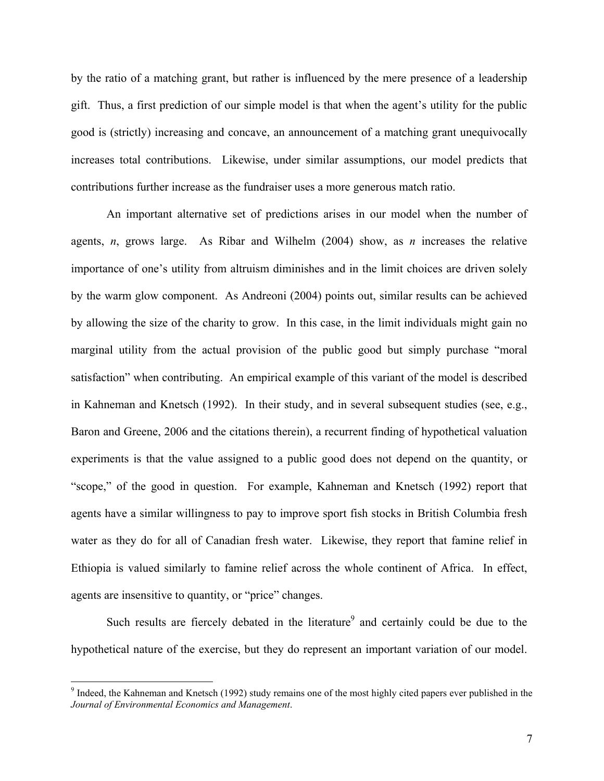by the ratio of a matching grant, but rather is influenced by the mere presence of a leadership gift. Thus, a first prediction of our simple model is that when the agent's utility for the public good is (strictly) increasing and concave, an announcement of a matching grant unequivocally increases total contributions. Likewise, under similar assumptions, our model predicts that contributions further increase as the fundraiser uses a more generous match ratio.

 An important alternative set of predictions arises in our model when the number of agents, *n*, grows large. As Ribar and Wilhelm (2004) show, as *n* increases the relative importance of one's utility from altruism diminishes and in the limit choices are driven solely by the warm glow component. As Andreoni (2004) points out, similar results can be achieved by allowing the size of the charity to grow. In this case, in the limit individuals might gain no marginal utility from the actual provision of the public good but simply purchase "moral satisfaction" when contributing. An empirical example of this variant of the model is described in Kahneman and Knetsch (1992). In their study, and in several subsequent studies (see, e.g., Baron and Greene, 2006 and the citations therein), a recurrent finding of hypothetical valuation experiments is that the value assigned to a public good does not depend on the quantity, or "scope," of the good in question. For example, Kahneman and Knetsch (1992) report that agents have a similar willingness to pay to improve sport fish stocks in British Columbia fresh water as they do for all of Canadian fresh water. Likewise, they report that famine relief in Ethiopia is valued similarly to famine relief across the whole continent of Africa. In effect, agents are insensitive to quantity, or "price" changes.

Such results are fiercely debated in the literature<sup>9</sup> and certainly could be due to the hypothetical nature of the exercise, but they do represent an important variation of our model.

<sup>&</sup>lt;sup>9</sup> Indeed, the Kahneman and Knetsch (1992) study remains one of the most highly cited papers ever published in the *Journal of Environmental Economics and Management*.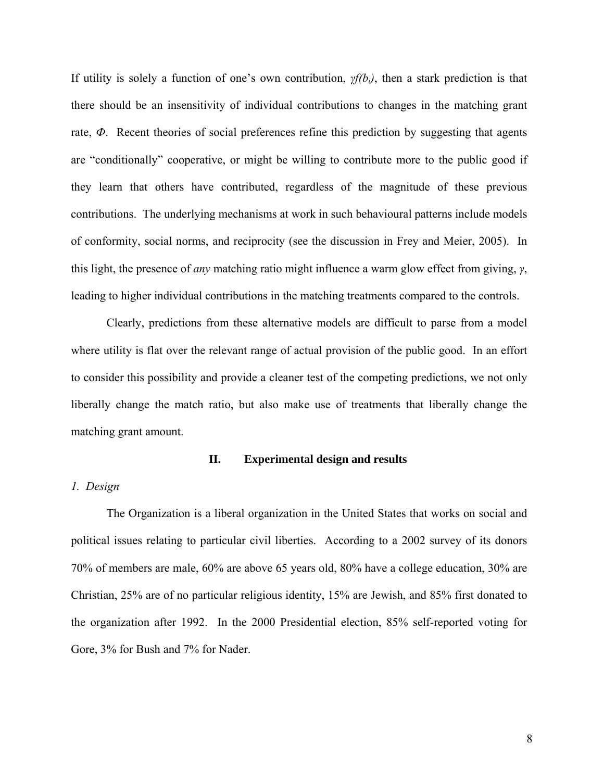If utility is solely a function of one's own contribution, *γf(bi)*, then a stark prediction is that there should be an insensitivity of individual contributions to changes in the matching grant rate,  $\Phi$ . Recent theories of social preferences refine this prediction by suggesting that agents are "conditionally" cooperative, or might be willing to contribute more to the public good if they learn that others have contributed, regardless of the magnitude of these previous contributions. The underlying mechanisms at work in such behavioural patterns include models of conformity, social norms, and reciprocity (see the discussion in Frey and Meier, 2005). In this light, the presence of *any* matching ratio might influence a warm glow effect from giving, *γ*, leading to higher individual contributions in the matching treatments compared to the controls.

Clearly, predictions from these alternative models are difficult to parse from a model where utility is flat over the relevant range of actual provision of the public good. In an effort to consider this possibility and provide a cleaner test of the competing predictions, we not only liberally change the match ratio, but also make use of treatments that liberally change the matching grant amount.

#### **II. Experimental design and results**

## *1. Design*

The Organization is a liberal organization in the United States that works on social and political issues relating to particular civil liberties. According to a 2002 survey of its donors 70% of members are male, 60% are above 65 years old, 80% have a college education, 30% are Christian, 25% are of no particular religious identity, 15% are Jewish, and 85% first donated to the organization after 1992. In the 2000 Presidential election, 85% self-reported voting for Gore, 3% for Bush and 7% for Nader.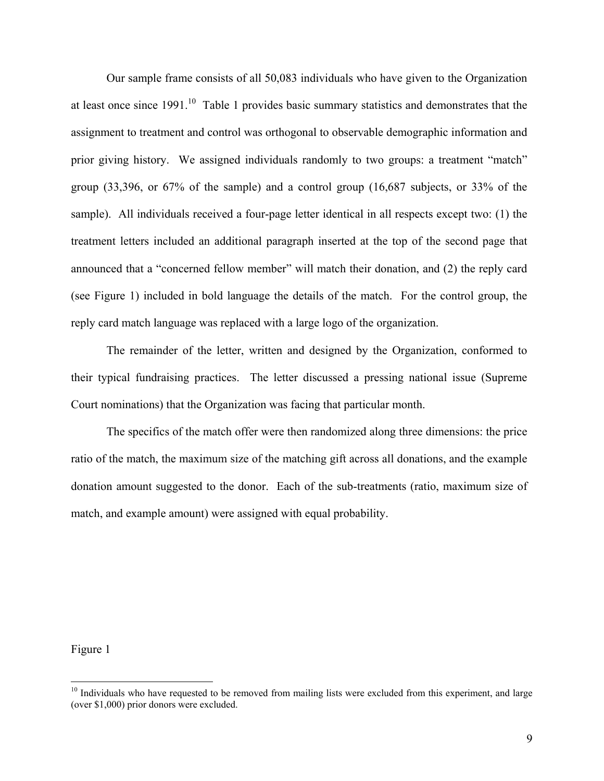Our sample frame consists of all 50,083 individuals who have given to the Organization at least once since  $1991$ <sup>10</sup>. Table 1 provides basic summary statistics and demonstrates that the assignment to treatment and control was orthogonal to observable demographic information and prior giving history. We assigned individuals randomly to two groups: a treatment "match" group (33,396, or 67% of the sample) and a control group (16,687 subjects, or 33% of the sample). All individuals received a four-page letter identical in all respects except two: (1) the treatment letters included an additional paragraph inserted at the top of the second page that announced that a "concerned fellow member" will match their donation, and (2) the reply card (see Figure 1) included in bold language the details of the match. For the control group, the reply card match language was replaced with a large logo of the organization.

The remainder of the letter, written and designed by the Organization, conformed to their typical fundraising practices. The letter discussed a pressing national issue (Supreme Court nominations) that the Organization was facing that particular month.

The specifics of the match offer were then randomized along three dimensions: the price ratio of the match, the maximum size of the matching gift across all donations, and the example donation amount suggested to the donor. Each of the sub-treatments (ratio, maximum size of match, and example amount) were assigned with equal probability.

Figure 1

<sup>&</sup>lt;sup>10</sup> Individuals who have requested to be removed from mailing lists were excluded from this experiment, and large (over \$1,000) prior donors were excluded.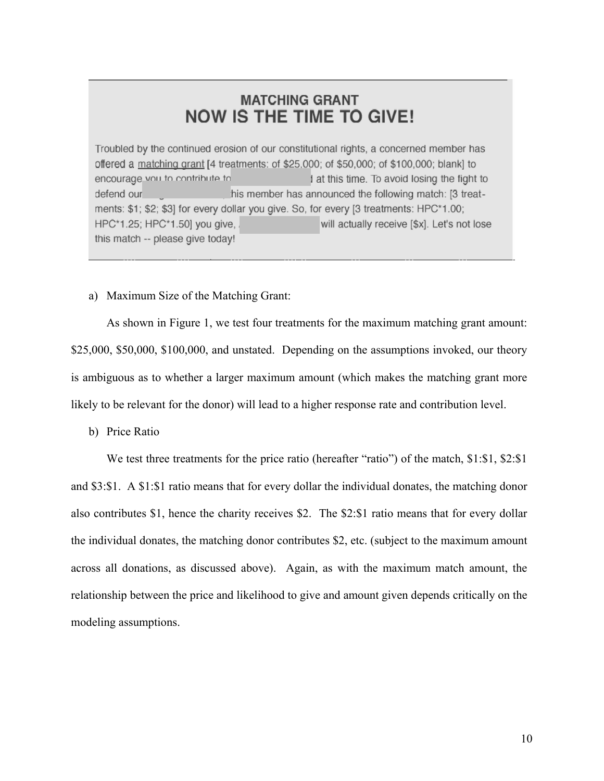## **MATCHING GRANT NOW IS THE TIME TO GIVE!**

Troubled by the continued erosion of our constitutional rights, a concerned member has offered a matching grant [4 treatments: of \$25,000; of \$50,000; of \$100,000; blank] to encourage vou to contribute to I at this time. To avoid losing the fight to his member has announced the following match: [3 treatdefend our ments: \$1; \$2; \$3] for every dollar you give. So, for every [3 treatments: HPC\*1.00; HPC\*1.25; HPC\*1.50] you give, will actually receive [\$x]. Let's not lose this match -- please give today!

a) Maximum Size of the Matching Grant:

 As shown in Figure 1, we test four treatments for the maximum matching grant amount: \$25,000, \$50,000, \$100,000, and unstated. Depending on the assumptions invoked, our theory is ambiguous as to whether a larger maximum amount (which makes the matching grant more likely to be relevant for the donor) will lead to a higher response rate and contribution level.

b) Price Ratio

We test three treatments for the price ratio (hereafter "ratio") of the match, \$1:\$1, \$2:\$1 and \$3:\$1. A \$1:\$1 ratio means that for every dollar the individual donates, the matching donor also contributes \$1, hence the charity receives \$2. The \$2:\$1 ratio means that for every dollar the individual donates, the matching donor contributes \$2, etc. (subject to the maximum amount across all donations, as discussed above). Again, as with the maximum match amount, the relationship between the price and likelihood to give and amount given depends critically on the modeling assumptions.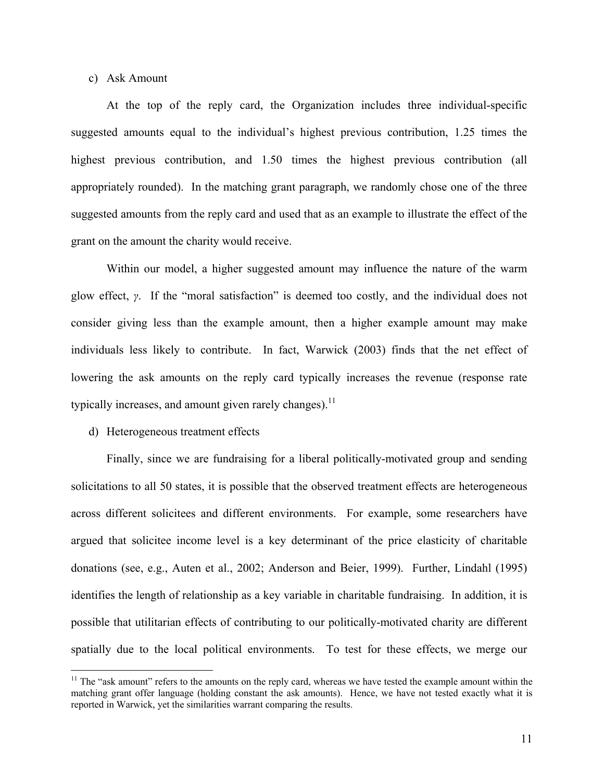c) Ask Amount

 At the top of the reply card, the Organization includes three individual-specific suggested amounts equal to the individual's highest previous contribution, 1.25 times the highest previous contribution, and 1.50 times the highest previous contribution (all appropriately rounded). In the matching grant paragraph, we randomly chose one of the three suggested amounts from the reply card and used that as an example to illustrate the effect of the grant on the amount the charity would receive.

Within our model, a higher suggested amount may influence the nature of the warm glow effect, *γ*. If the "moral satisfaction" is deemed too costly, and the individual does not consider giving less than the example amount, then a higher example amount may make individuals less likely to contribute. In fact, Warwick (2003) finds that the net effect of lowering the ask amounts on the reply card typically increases the revenue (response rate typically increases, and amount given rarely changes).<sup>11</sup>

#### d) Heterogeneous treatment effects

 $\overline{a}$ 

 Finally, since we are fundraising for a liberal politically-motivated group and sending solicitations to all 50 states, it is possible that the observed treatment effects are heterogeneous across different solicitees and different environments. For example, some researchers have argued that solicitee income level is a key determinant of the price elasticity of charitable donations (see, e.g., Auten et al., 2002; Anderson and Beier, 1999). Further, Lindahl (1995) identifies the length of relationship as a key variable in charitable fundraising. In addition, it is possible that utilitarian effects of contributing to our politically-motivated charity are different spatially due to the local political environments. To test for these effects, we merge our

 $11$  The "ask amount" refers to the amounts on the reply card, whereas we have tested the example amount within the matching grant offer language (holding constant the ask amounts). Hence, we have not tested exactly what it is reported in Warwick, yet the similarities warrant comparing the results.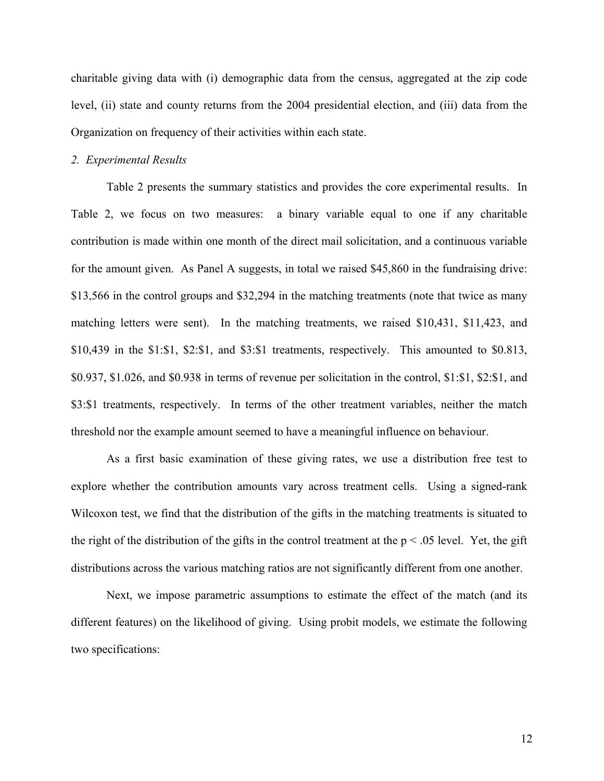charitable giving data with (i) demographic data from the census, aggregated at the zip code level, (ii) state and county returns from the 2004 presidential election, and (iii) data from the Organization on frequency of their activities within each state.

#### *2. Experimental Results*

Table 2 presents the summary statistics and provides the core experimental results. In Table 2, we focus on two measures: a binary variable equal to one if any charitable contribution is made within one month of the direct mail solicitation, and a continuous variable for the amount given. As Panel A suggests, in total we raised \$45,860 in the fundraising drive: \$13,566 in the control groups and \$32,294 in the matching treatments (note that twice as many matching letters were sent). In the matching treatments, we raised \$10,431, \$11,423, and \$10,439 in the \$1:\$1, \$2:\$1, and \$3:\$1 treatments, respectively. This amounted to \$0.813, \$0.937, \$1.026, and \$0.938 in terms of revenue per solicitation in the control, \$1:\$1, \$2:\$1, and \$3:\$1 treatments, respectively. In terms of the other treatment variables, neither the match threshold nor the example amount seemed to have a meaningful influence on behaviour.

As a first basic examination of these giving rates, we use a distribution free test to explore whether the contribution amounts vary across treatment cells. Using a signed-rank Wilcoxon test, we find that the distribution of the gifts in the matching treatments is situated to the right of the distribution of the gifts in the control treatment at the  $p < .05$  level. Yet, the gift distributions across the various matching ratios are not significantly different from one another.

Next, we impose parametric assumptions to estimate the effect of the match (and its different features) on the likelihood of giving. Using probit models, we estimate the following two specifications: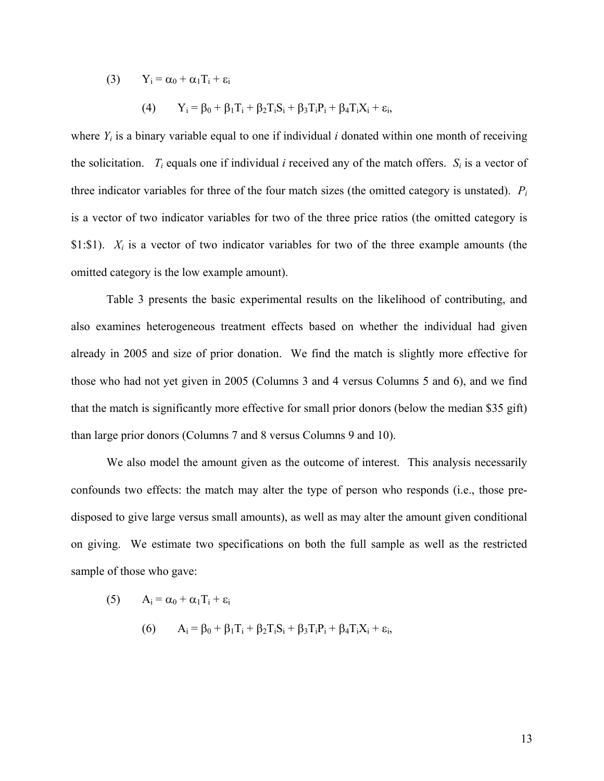(3)  $Y_i = \alpha_0 + \alpha_1 T_i + \varepsilon_i$ 

(4) 
$$
Y_i = \beta_0 + \beta_1 T_i + \beta_2 T_i S_i + \beta_3 T_i P_i + \beta_4 T_i X_i + \varepsilon_i,
$$

where  $Y_i$  is a binary variable equal to one if individual *i* donated within one month of receiving the solicitation.  $T_i$  equals one if individual *i* received any of the match offers.  $S_i$  is a vector of three indicator variables for three of the four match sizes (the omitted category is unstated). *Pi* is a vector of two indicator variables for two of the three price ratios (the omitted category is \$1:\$1). *Xi* is a vector of two indicator variables for two of the three example amounts (the omitted category is the low example amount).

Table 3 presents the basic experimental results on the likelihood of contributing, and also examines heterogeneous treatment effects based on whether the individual had given already in 2005 and size of prior donation. We find the match is slightly more effective for those who had not yet given in 2005 (Columns 3 and 4 versus Columns 5 and 6), and we find that the match is significantly more effective for small prior donors (below the median \$35 gift) than large prior donors (Columns 7 and 8 versus Columns 9 and 10).

We also model the amount given as the outcome of interest. This analysis necessarily confounds two effects: the match may alter the type of person who responds (i.e., those predisposed to give large versus small amounts), as well as may alter the amount given conditional on giving. We estimate two specifications on both the full sample as well as the restricted sample of those who gave:

(5)  $A_i = \alpha_0 + \alpha_1 T_i + \varepsilon_i$ 

(6) 
$$
A_i = \beta_0 + \beta_1 T_i + \beta_2 T_i S_i + \beta_3 T_i P_i + \beta_4 T_i X_i + \varepsilon_i,
$$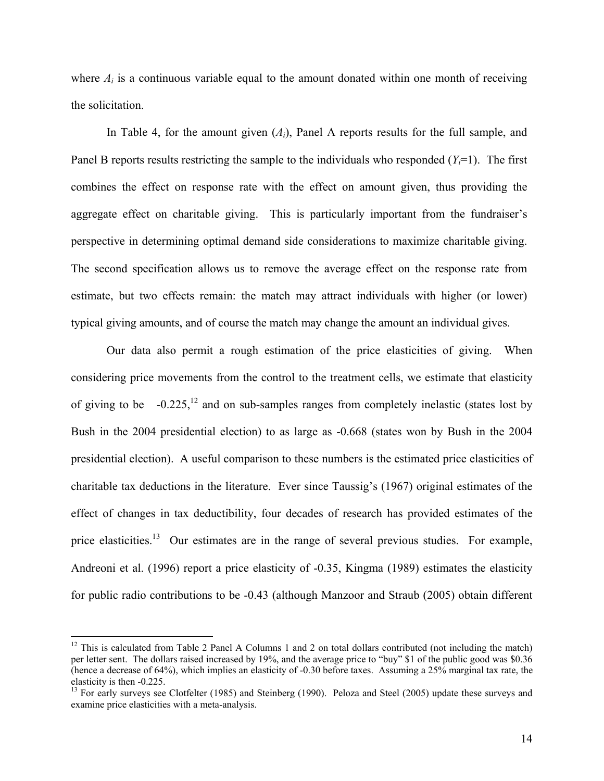where  $A_i$  is a continuous variable equal to the amount donated within one month of receiving the solicitation.

In Table 4, for the amount given (*Ai*), Panel A reports results for the full sample, and Panel B reports results restricting the sample to the individuals who responded  $(Y<sub>i</sub>=1)$ . The first combines the effect on response rate with the effect on amount given, thus providing the aggregate effect on charitable giving. This is particularly important from the fundraiser's perspective in determining optimal demand side considerations to maximize charitable giving. The second specification allows us to remove the average effect on the response rate from estimate, but two effects remain: the match may attract individuals with higher (or lower) typical giving amounts, and of course the match may change the amount an individual gives.

Our data also permit a rough estimation of the price elasticities of giving. When considering price movements from the control to the treatment cells, we estimate that elasticity of giving to be  $-0.225$ ,  $\frac{12}{12}$  and on sub-samples ranges from completely inelastic (states lost by Bush in the 2004 presidential election) to as large as -0.668 (states won by Bush in the 2004 presidential election). A useful comparison to these numbers is the estimated price elasticities of charitable tax deductions in the literature. Ever since Taussig's (1967) original estimates of the effect of changes in tax deductibility, four decades of research has provided estimates of the price elasticities.<sup>13</sup> Our estimates are in the range of several previous studies. For example, Andreoni et al. (1996) report a price elasticity of -0.35, Kingma (1989) estimates the elasticity for public radio contributions to be -0.43 (although Manzoor and Straub (2005) obtain different

<sup>&</sup>lt;sup>12</sup> This is calculated from Table 2 Panel A Columns 1 and 2 on total dollars contributed (not including the match) per letter sent. The dollars raised increased by 19%, and the average price to "buy" \$1 of the public good was \$0.36 (hence a decrease of 64%), which implies an elasticity of -0.30 before taxes. Assuming a 25% marginal tax rate, the elasticity is then -0.225.

<sup>&</sup>lt;sup>13</sup> For early surveys see Clotfelter (1985) and Steinberg (1990). Peloza and Steel (2005) update these surveys and examine price elasticities with a meta-analysis.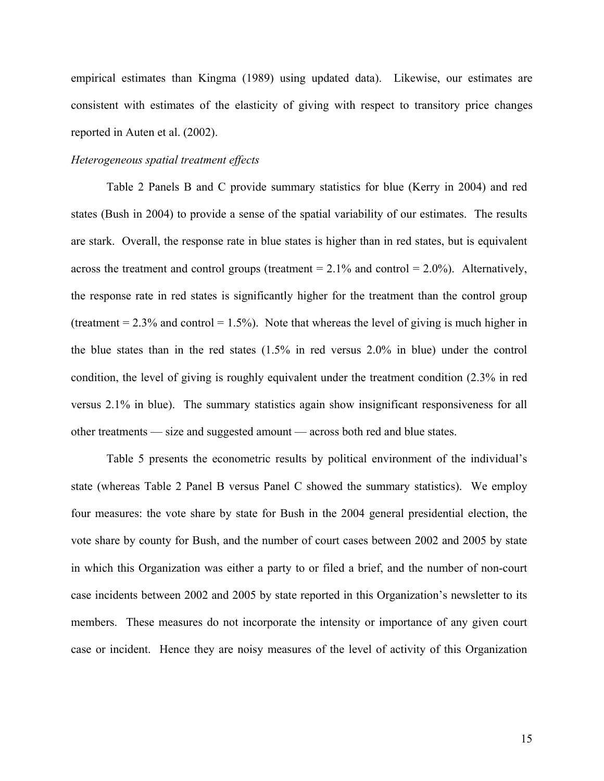empirical estimates than Kingma (1989) using updated data). Likewise, our estimates are consistent with estimates of the elasticity of giving with respect to transitory price changes reported in Auten et al. (2002).

## *Heterogeneous spatial treatment effects*

Table 2 Panels B and C provide summary statistics for blue (Kerry in 2004) and red states (Bush in 2004) to provide a sense of the spatial variability of our estimates. The results are stark. Overall, the response rate in blue states is higher than in red states, but is equivalent across the treatment and control groups (treatment  $= 2.1\%$  and control  $= 2.0\%$ ). Alternatively, the response rate in red states is significantly higher for the treatment than the control group (treatment  $= 2.3\%$  and control  $= 1.5\%$ ). Note that whereas the level of giving is much higher in the blue states than in the red states (1.5% in red versus 2.0% in blue) under the control condition, the level of giving is roughly equivalent under the treatment condition (2.3% in red versus 2.1% in blue). The summary statistics again show insignificant responsiveness for all other treatments — size and suggested amount — across both red and blue states.

Table 5 presents the econometric results by political environment of the individual's state (whereas Table 2 Panel B versus Panel C showed the summary statistics). We employ four measures: the vote share by state for Bush in the 2004 general presidential election, the vote share by county for Bush, and the number of court cases between 2002 and 2005 by state in which this Organization was either a party to or filed a brief, and the number of non-court case incidents between 2002 and 2005 by state reported in this Organization's newsletter to its members. These measures do not incorporate the intensity or importance of any given court case or incident. Hence they are noisy measures of the level of activity of this Organization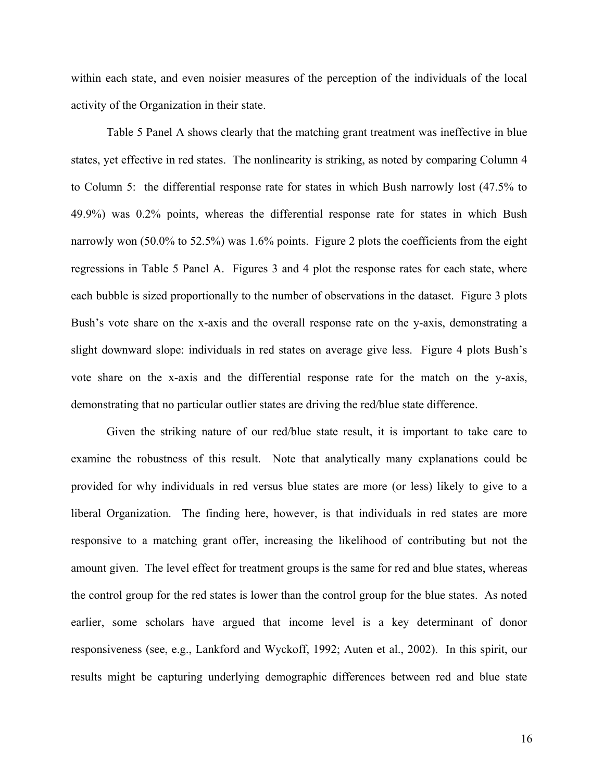within each state, and even noisier measures of the perception of the individuals of the local activity of the Organization in their state.

Table 5 Panel A shows clearly that the matching grant treatment was ineffective in blue states, yet effective in red states. The nonlinearity is striking, as noted by comparing Column 4 to Column 5: the differential response rate for states in which Bush narrowly lost (47.5% to 49.9%) was 0.2% points, whereas the differential response rate for states in which Bush narrowly won (50.0% to 52.5%) was 1.6% points. Figure 2 plots the coefficients from the eight regressions in Table 5 Panel A. Figures 3 and 4 plot the response rates for each state, where each bubble is sized proportionally to the number of observations in the dataset. Figure 3 plots Bush's vote share on the x-axis and the overall response rate on the y-axis, demonstrating a slight downward slope: individuals in red states on average give less. Figure 4 plots Bush's vote share on the x-axis and the differential response rate for the match on the y-axis, demonstrating that no particular outlier states are driving the red/blue state difference.

Given the striking nature of our red/blue state result, it is important to take care to examine the robustness of this result. Note that analytically many explanations could be provided for why individuals in red versus blue states are more (or less) likely to give to a liberal Organization. The finding here, however, is that individuals in red states are more responsive to a matching grant offer, increasing the likelihood of contributing but not the amount given. The level effect for treatment groups is the same for red and blue states, whereas the control group for the red states is lower than the control group for the blue states. As noted earlier, some scholars have argued that income level is a key determinant of donor responsiveness (see, e.g., Lankford and Wyckoff, 1992; Auten et al., 2002). In this spirit, our results might be capturing underlying demographic differences between red and blue state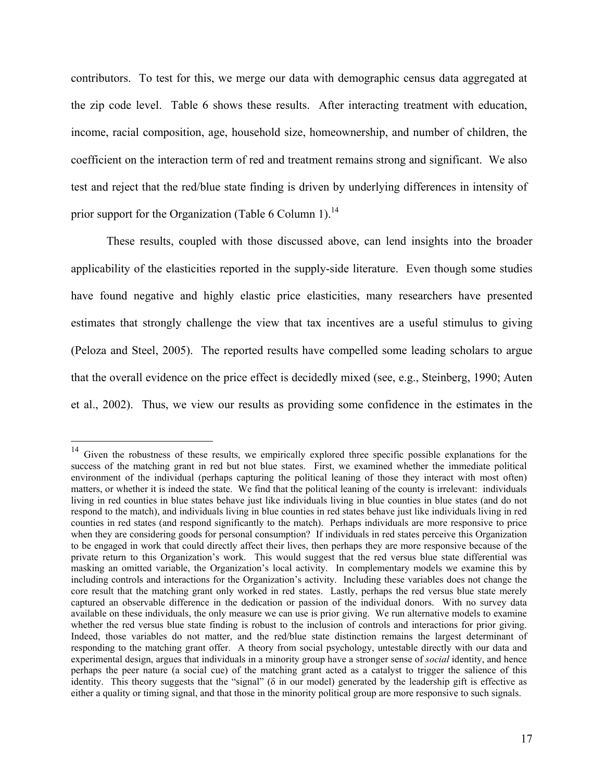contributors. To test for this, we merge our data with demographic census data aggregated at the zip code level. Table 6 shows these results. After interacting treatment with education, income, racial composition, age, household size, homeownership, and number of children, the coefficient on the interaction term of red and treatment remains strong and significant. We also test and reject that the red/blue state finding is driven by underlying differences in intensity of prior support for the Organization (Table 6 Column 1).<sup>14</sup>

These results, coupled with those discussed above, can lend insights into the broader applicability of the elasticities reported in the supply-side literature. Even though some studies have found negative and highly elastic price elasticities, many researchers have presented estimates that strongly challenge the view that tax incentives are a useful stimulus to giving (Peloza and Steel, 2005). The reported results have compelled some leading scholars to argue that the overall evidence on the price effect is decidedly mixed (see, e.g., Steinberg, 1990; Auten et al., 2002). Thus, we view our results as providing some confidence in the estimates in the

<sup>&</sup>lt;sup>14</sup> Given the robustness of these results, we empirically explored three specific possible explanations for the success of the matching grant in red but not blue states. First, we examined whether the immediate political environment of the individual (perhaps capturing the political leaning of those they interact with most often) matters, or whether it is indeed the state. We find that the political leaning of the county is irrelevant: individuals living in red counties in blue states behave just like individuals living in blue counties in blue states (and do not respond to the match), and individuals living in blue counties in red states behave just like individuals living in red counties in red states (and respond significantly to the match). Perhaps individuals are more responsive to price when they are considering goods for personal consumption? If individuals in red states perceive this Organization to be engaged in work that could directly affect their lives, then perhaps they are more responsive because of the private return to this Organization's work. This would suggest that the red versus blue state differential was masking an omitted variable, the Organization's local activity. In complementary models we examine this by including controls and interactions for the Organization's activity. Including these variables does not change the core result that the matching grant only worked in red states. Lastly, perhaps the red versus blue state merely captured an observable difference in the dedication or passion of the individual donors. With no survey data available on these individuals, the only measure we can use is prior giving. We run alternative models to examine whether the red versus blue state finding is robust to the inclusion of controls and interactions for prior giving. Indeed, those variables do not matter, and the red/blue state distinction remains the largest determinant of responding to the matching grant offer. A theory from social psychology, untestable directly with our data and experimental design, argues that individuals in a minority group have a stronger sense of *social* identity, and hence perhaps the peer nature (a social cue) of the matching grant acted as a catalyst to trigger the salience of this identity. This theory suggests that the "signal" (δ in our model) generated by the leadership gift is effective as either a quality or timing signal, and that those in the minority political group are more responsive to such signals.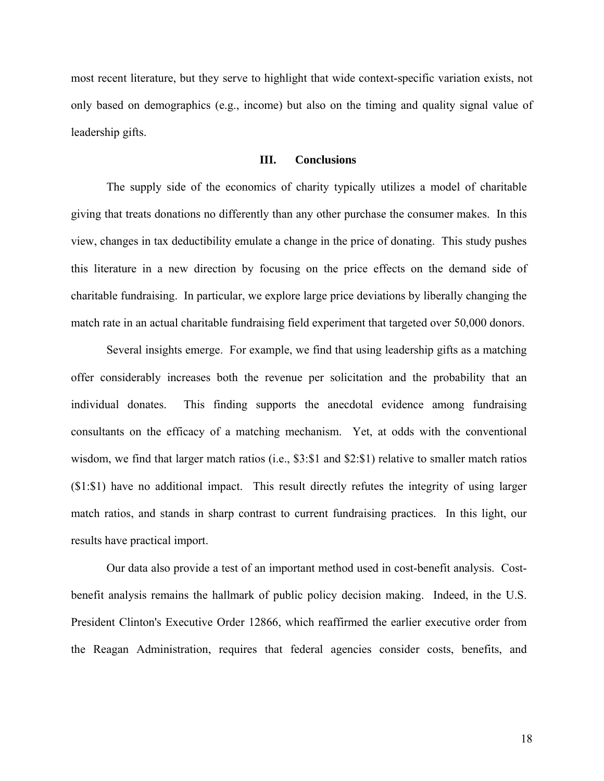most recent literature, but they serve to highlight that wide context-specific variation exists, not only based on demographics (e.g., income) but also on the timing and quality signal value of leadership gifts.

## **III. Conclusions**

The supply side of the economics of charity typically utilizes a model of charitable giving that treats donations no differently than any other purchase the consumer makes. In this view, changes in tax deductibility emulate a change in the price of donating. This study pushes this literature in a new direction by focusing on the price effects on the demand side of charitable fundraising. In particular, we explore large price deviations by liberally changing the match rate in an actual charitable fundraising field experiment that targeted over 50,000 donors.

Several insights emerge. For example, we find that using leadership gifts as a matching offer considerably increases both the revenue per solicitation and the probability that an individual donates. This finding supports the anecdotal evidence among fundraising consultants on the efficacy of a matching mechanism. Yet, at odds with the conventional wisdom, we find that larger match ratios (i.e., \$3:\$1 and \$2:\$1) relative to smaller match ratios (\$1:\$1) have no additional impact. This result directly refutes the integrity of using larger match ratios, and stands in sharp contrast to current fundraising practices. In this light, our results have practical import.

Our data also provide a test of an important method used in cost-benefit analysis. Costbenefit analysis remains the hallmark of public policy decision making. Indeed, in the U.S. President Clinton's Executive Order 12866, which reaffirmed the earlier executive order from the Reagan Administration, requires that federal agencies consider costs, benefits, and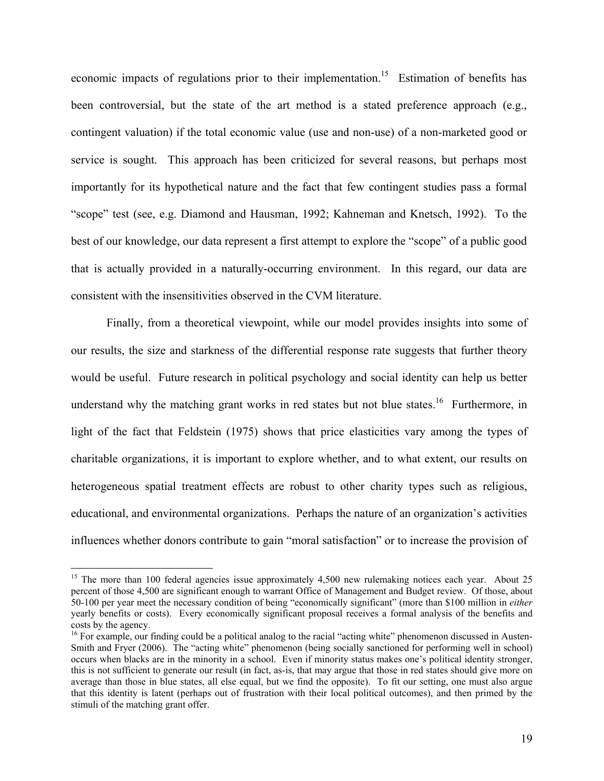economic impacts of regulations prior to their implementation.<sup>15</sup> Estimation of benefits has been controversial, but the state of the art method is a stated preference approach (e.g., contingent valuation) if the total economic value (use and non-use) of a non-marketed good or service is sought. This approach has been criticized for several reasons, but perhaps most importantly for its hypothetical nature and the fact that few contingent studies pass a formal "scope" test (see, e.g. Diamond and Hausman, 1992; Kahneman and Knetsch, 1992). To the best of our knowledge, our data represent a first attempt to explore the "scope" of a public good that is actually provided in a naturally-occurring environment. In this regard, our data are consistent with the insensitivities observed in the CVM literature.

Finally, from a theoretical viewpoint, while our model provides insights into some of our results, the size and starkness of the differential response rate suggests that further theory would be useful. Future research in political psychology and social identity can help us better understand why the matching grant works in red states but not blue states.<sup>16</sup> Furthermore, in light of the fact that Feldstein (1975) shows that price elasticities vary among the types of charitable organizations, it is important to explore whether, and to what extent, our results on heterogeneous spatial treatment effects are robust to other charity types such as religious, educational, and environmental organizations. Perhaps the nature of an organization's activities influences whether donors contribute to gain "moral satisfaction" or to increase the provision of

<sup>&</sup>lt;sup>15</sup> The more than 100 federal agencies issue approximately 4,500 new rulemaking notices each year. About 25 percent of those 4,500 are significant enough to warrant Office of Management and Budget review. Of those, about 50-100 per year meet the necessary condition of being "economically significant" (more than \$100 million in *either* yearly benefits or costs). Every economically significant proposal receives a formal analysis of the benefits and costs by the agency.

 $16$  For example, our finding could be a political analog to the racial "acting white" phenomenon discussed in Austen-Smith and Fryer (2006). The "acting white" phenomenon (being socially sanctioned for performing well in school) occurs when blacks are in the minority in a school. Even if minority status makes one's political identity stronger, this is not sufficient to generate our result (in fact, as-is, that may argue that those in red states should give more on average than those in blue states, all else equal, but we find the opposite). To fit our setting, one must also argue that this identity is latent (perhaps out of frustration with their local political outcomes), and then primed by the stimuli of the matching grant offer.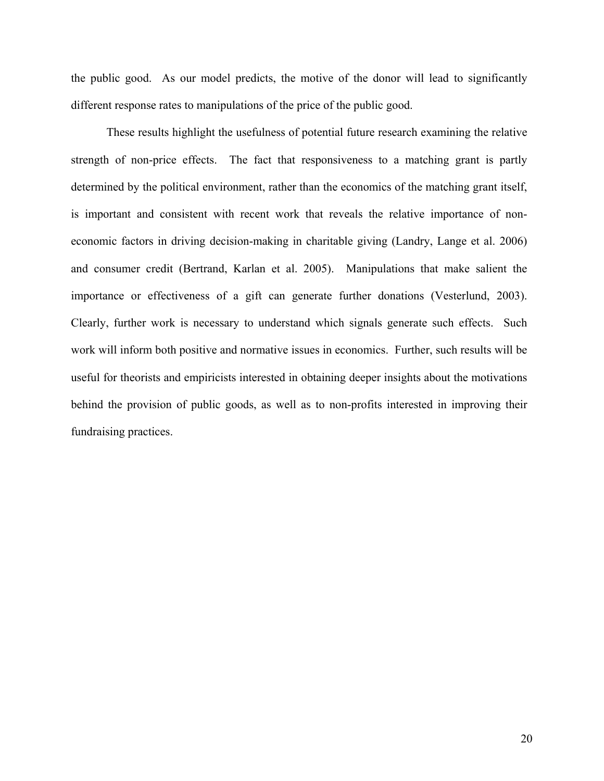the public good. As our model predicts, the motive of the donor will lead to significantly different response rates to manipulations of the price of the public good.

These results highlight the usefulness of potential future research examining the relative strength of non-price effects. The fact that responsiveness to a matching grant is partly determined by the political environment, rather than the economics of the matching grant itself, is important and consistent with recent work that reveals the relative importance of noneconomic factors in driving decision-making in charitable giving (Landry, Lange et al. 2006) and consumer credit (Bertrand, Karlan et al. 2005). Manipulations that make salient the importance or effectiveness of a gift can generate further donations (Vesterlund, 2003). Clearly, further work is necessary to understand which signals generate such effects. Such work will inform both positive and normative issues in economics. Further, such results will be useful for theorists and empiricists interested in obtaining deeper insights about the motivations behind the provision of public goods, as well as to non-profits interested in improving their fundraising practices.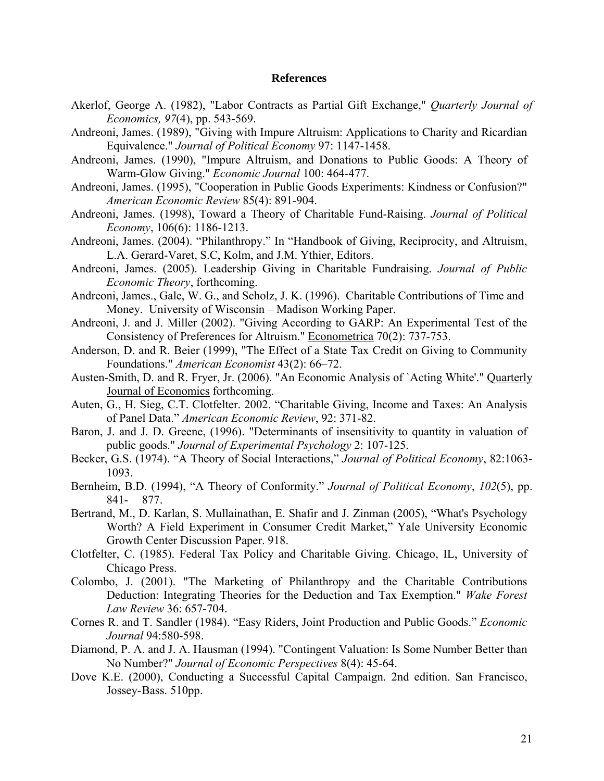## **References**

- Akerlof, George A. (1982), "Labor Contracts as Partial Gift Exchange," *Quarterly Journal of Economics, 97*(4), pp. 543-569.
- Andreoni, James. (1989), "Giving with Impure Altruism: Applications to Charity and Ricardian Equivalence." *Journal of Political Economy* 97: 1147-1458.
- Andreoni, James. (1990), "Impure Altruism, and Donations to Public Goods: A Theory of Warm-Glow Giving." *Economic Journal* 100: 464-477.
- Andreoni, James. (1995), "Cooperation in Public Goods Experiments: Kindness or Confusion?" *American Economic Review* 85(4): 891-904.
- Andreoni, James. (1998), Toward a Theory of Charitable Fund-Raising. *Journal of Political Economy*, 106(6): 1186-1213.
- Andreoni, James. (2004). "Philanthropy." In "Handbook of Giving, Reciprocity, and Altruism, L.A. Gerard-Varet, S.C, Kolm, and J.M. Ythier, Editors.
- Andreoni, James. (2005). Leadership Giving in Charitable Fundraising. *Journal of Public Economic Theory*, forthcoming.
- Andreoni, James., Gale, W. G., and Scholz, J. K. (1996). Charitable Contributions of Time and Money. University of Wisconsin – Madison Working Paper.
- Andreoni, J. and J. Miller (2002). "Giving According to GARP: An Experimental Test of the Consistency of Preferences for Altruism." Econometrica 70(2): 737-753.
- Anderson, D. and R. Beier (1999), "The Effect of a State Tax Credit on Giving to Community Foundations." *American Economist* 43(2): 66–72.
- Austen-Smith, D. and R. Fryer, Jr. (2006). "An Economic Analysis of `Acting White'." Quarterly Journal of Economics forthcoming.
- Auten, G., H. Sieg, C.T. Clotfelter. 2002. "Charitable Giving, Income and Taxes: An Analysis of Panel Data." *American Economic Review*, 92: 371-82.
- Baron, J. and J. D. Greene, (1996). "Determinants of insensitivity to quantity in valuation of public goods." *Journal of Experimental Psychology* 2: 107-125.
- Becker, G.S. (1974). "A Theory of Social Interactions," *Journal of Political Economy*, 82:1063- 1093.
- Bernheim, B.D. (1994), "A Theory of Conformity." *Journal of Political Economy*, *102*(5), pp. 841- 877.
- Bertrand, M., D. Karlan, S. Mullainathan, E. Shafir and J. Zinman (2005), "What's Psychology Worth? A Field Experiment in Consumer Credit Market," Yale University Economic Growth Center Discussion Paper. 918.
- Clotfelter, C. (1985). Federal Tax Policy and Charitable Giving. Chicago, IL, University of Chicago Press.
- Colombo, J. (2001). "The Marketing of Philanthropy and the Charitable Contributions Deduction: Integrating Theories for the Deduction and Tax Exemption." *Wake Forest Law Review* 36: 657-704.
- Cornes R. and T. Sandler (1984). "Easy Riders, Joint Production and Public Goods." *Economic Journal* 94:580-598.
- Diamond, P. A. and J. A. Hausman (1994). "Contingent Valuation: Is Some Number Better than No Number?" *Journal of Economic Perspectives* 8(4): 45-64.
- Dove K.E. (2000), Conducting a Successful Capital Campaign. 2nd edition. San Francisco, Jossey- Bass. 510pp.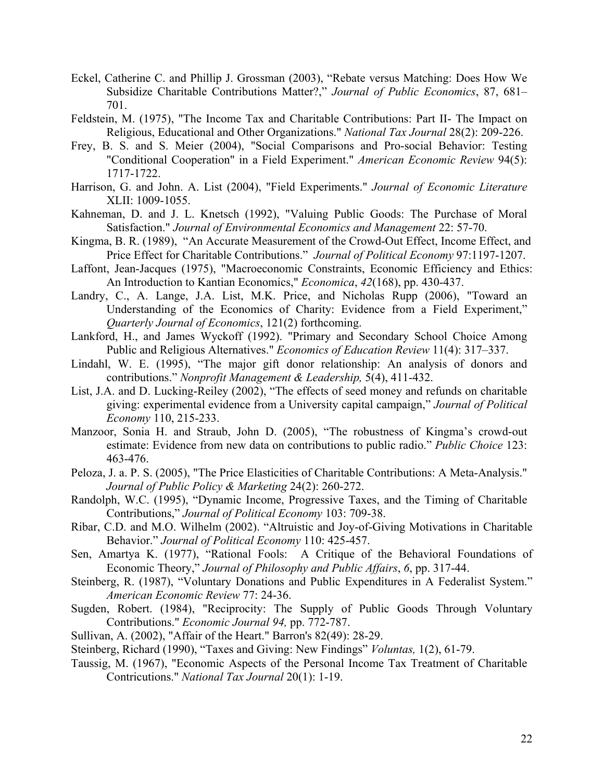- Eckel, Catherine C. and Phillip J. Grossman (2003), "Rebate versus Matching: Does How We Subsidize Charitable Contributions Matter?," *Journal of Public Economics*, 87, 681– 701.
- Feldstein, M. (1975), "The Income Tax and Charitable Contributions: Part II- The Impact on Religious, Educational and Other Organizations." *National Tax Journal* 28(2): 209-226.
- Frey, B. S. and S. Meier (2004), "Social Comparisons and Pro-social Behavior: Testing "Conditional Cooperation" in a Field Experiment." *American Economic Review* 94(5): 1717-1722.
- Harrison, G. and John. A. List (2004), "Field Experiments." *Journal of Economic Literature*  XLII: 1009-1055.
- Kahneman, D. and J. L. Knetsch (1992), "Valuing Public Goods: The Purchase of Moral Satisfaction." *Journal of Environmental Economics and Management* 22: 57-70.
- Kingma, B. R. (1989), "An Accurate Measurement of the Crowd-Out Effect, Income Effect, and Price Effect for Charitable Contributions." *Journal of Political Economy* 97:1197-1207.
- Laffont, Jean-Jacques (1975), "Macroeconomic Constraints, Economic Efficiency and Ethics: An Introduction to Kantian Economics," *Economica*, *42*(168), pp. 430-437.
- Landry, C., A. Lange, J.A. List, M.K. Price, and Nicholas Rupp (2006), "Toward an Understanding of the Economics of Charity: Evidence from a Field Experiment," *Quarterly Journal of Economics*, 121(2) forthcoming.
- Lankford, H., and James Wyckoff (1992). "Primary and Secondary School Choice Among Public and Religious Alternatives." *Economics of Education Review* 11(4): 317–337.
- Lindahl, W. E. (1995), "The major gift donor relationship: An analysis of donors and contributions." *Nonprofit Management & Leadership,* 5(4), 411-432.
- List, J.A. and D. Lucking-Reiley (2002), "The effects of seed money and refunds on charitable giving: experimental evidence from a University capital campaign," *Journal of Political Economy* 110, 215-233.
- Manzoor, Sonia H. and Straub, John D. (2005), "The robustness of Kingma's crowd-out estimate: Evidence from new data on contributions to public radio." *Public Choice* 123: 463-476.
- Peloza, J. a. P. S. (2005), "The Price Elasticities of Charitable Contributions: A Meta-Analysis." *Journal of Public Policy & Marketing* 24(2): 260-272.
- Randolph, W.C. (1995), "Dynamic Income, Progressive Taxes, and the Timing of Charitable Contributions," *Journal of Political Economy* 103: 709-38.
- Ribar, C.D. and M.O. Wilhelm (2002). "Altruistic and Joy-of-Giving Motivations in Charitable Behavior." *Journal of Political Economy* 110: 425-457.
- Sen, Amartya K. (1977), "Rational Fools: A Critique of the Behavioral Foundations of Economic Theory," *Journal of Philosophy and Public Affairs*, *6*, pp. 317-44.
- Steinberg, R. (1987), "Voluntary Donations and Public Expenditures in A Federalist System." *American Economic Review* 77: 24-36.
- Sugden, Robert. (1984), "Reciprocity: The Supply of Public Goods Through Voluntary Contributions." *Economic Journal 94,* pp. 772-787.
- Sullivan, A. (2002), "Affair of the Heart." Barron's 82(49): 28-29.
- Steinberg, Richard (1990), "Taxes and Giving: New Findings" *Voluntas,* 1(2), 61-79.
- Taussig, M. (1967), "Economic Aspects of the Personal Income Tax Treatment of Charitable Contricutions." *National Tax Journal* 20(1): 1-19.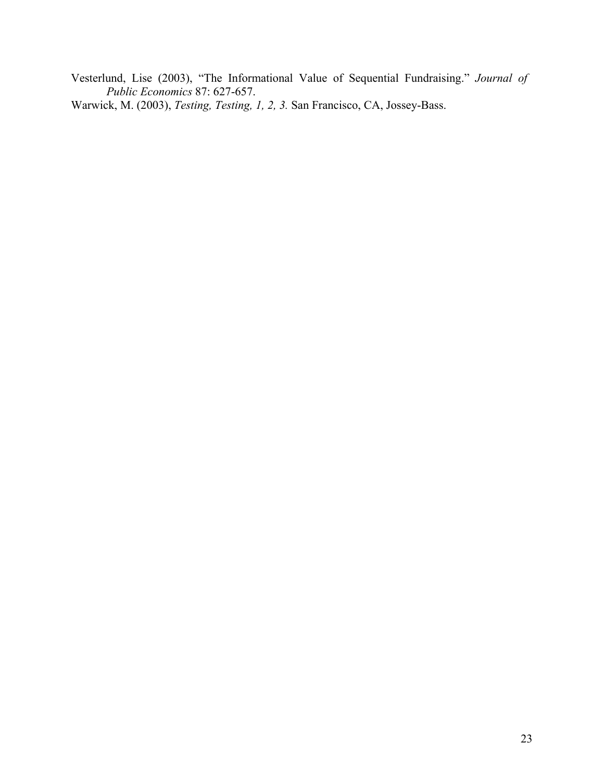Vesterlund, Lise (2003), "The Informational Value of Sequential Fundraising." *Journal of Public Economics* 87: 627-657.

Warwick, M. (2003), *Testing, Testing, 1, 2, 3.* San Francisco, CA, Jossey-Bass.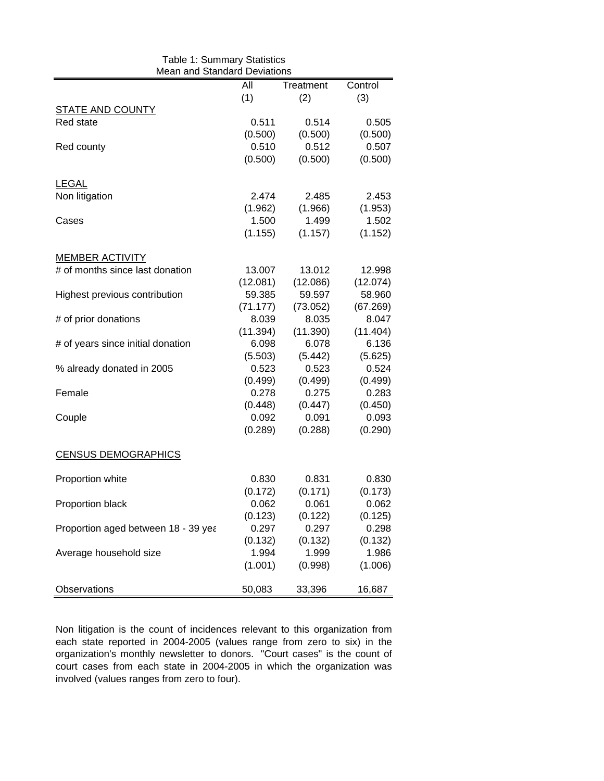| Table 1: Summary Statistics<br>Mean and Standard Deviations |          |                  |                  |  |  |  |  |  |  |
|-------------------------------------------------------------|----------|------------------|------------------|--|--|--|--|--|--|
|                                                             | All      | Treatment        | Control          |  |  |  |  |  |  |
|                                                             | (1)      | (2)              | (3)              |  |  |  |  |  |  |
| <b>STATE AND COUNTY</b>                                     |          |                  |                  |  |  |  |  |  |  |
| Red state                                                   | 0.511    | 0.514            | 0.505            |  |  |  |  |  |  |
|                                                             | (0.500)  | (0.500)          | (0.500)          |  |  |  |  |  |  |
| Red county                                                  | 0.510    | 0.512            | 0.507            |  |  |  |  |  |  |
|                                                             | (0.500)  | (0.500)          | (0.500)          |  |  |  |  |  |  |
| <b>LEGAL</b>                                                |          |                  |                  |  |  |  |  |  |  |
| Non litigation                                              | 2.474    | 2.485            | 2.453            |  |  |  |  |  |  |
|                                                             | (1.962)  | (1.966)          | (1.953)          |  |  |  |  |  |  |
| Cases                                                       | 1.500    | 1.499            | 1.502            |  |  |  |  |  |  |
|                                                             | (1.155)  | (1.157)          | (1.152)          |  |  |  |  |  |  |
| <b>MEMBER ACTIVITY</b>                                      |          |                  |                  |  |  |  |  |  |  |
| # of months since last donation                             | 13.007   | 13.012           | 12.998           |  |  |  |  |  |  |
|                                                             | (12.081) | (12.086)         | (12.074)         |  |  |  |  |  |  |
| Highest previous contribution                               | 59.385   | 59.597           | 58.960           |  |  |  |  |  |  |
|                                                             | (71.177) | (73.052)         | (67.269)         |  |  |  |  |  |  |
| # of prior donations                                        | 8.039    | 8.035            | 8.047            |  |  |  |  |  |  |
|                                                             | (11.394) | (11.390)         | (11.404)         |  |  |  |  |  |  |
| # of years since initial donation                           | 6.098    | 6.078            | 6.136            |  |  |  |  |  |  |
|                                                             | (5.503)  | (5.442)          | (5.625)          |  |  |  |  |  |  |
| % already donated in 2005                                   | 0.523    | 0.523            | 0.524            |  |  |  |  |  |  |
|                                                             | (0.499)  | (0.499)          | (0.499)          |  |  |  |  |  |  |
| Female                                                      | 0.278    | 0.275            | 0.283            |  |  |  |  |  |  |
|                                                             | (0.448)  |                  |                  |  |  |  |  |  |  |
|                                                             | 0.092    | (0.447)<br>0.091 | (0.450)<br>0.093 |  |  |  |  |  |  |
| Couple                                                      |          |                  |                  |  |  |  |  |  |  |
|                                                             | (0.289)  | (0.288)          | (0.290)          |  |  |  |  |  |  |
| <b>CENSUS DEMOGRAPHICS</b>                                  |          |                  |                  |  |  |  |  |  |  |
| Proportion white                                            | 0.830    | 0.831            | 0.830            |  |  |  |  |  |  |
|                                                             | (0.172)  | (0.171)          | (0.173)          |  |  |  |  |  |  |
| Proportion black                                            | 0.062    | 0.061            | 0.062            |  |  |  |  |  |  |
|                                                             | (0.123)  | (0.122)          | (0.125)          |  |  |  |  |  |  |
| Proportion aged between 18 - 39 yea                         | 0.297    | 0.297            | 0.298            |  |  |  |  |  |  |
|                                                             | (0.132)  | (0.132)          | (0.132)          |  |  |  |  |  |  |
| Average household size                                      | 1.994    | 1.999            | 1.986            |  |  |  |  |  |  |
|                                                             | (1.001)  | (0.998)          | (1.006)          |  |  |  |  |  |  |
| Observations                                                | 50,083   | 33,396           | 16,687           |  |  |  |  |  |  |

Non litigation is the count of incidences relevant to this organization from each state reported in 2004-2005 (values range from zero to six) in the organization's monthly newsletter to donors. "Court cases" is the count of court cases from each state in 2004-2005 in which the organization was involved (values ranges from zero to four).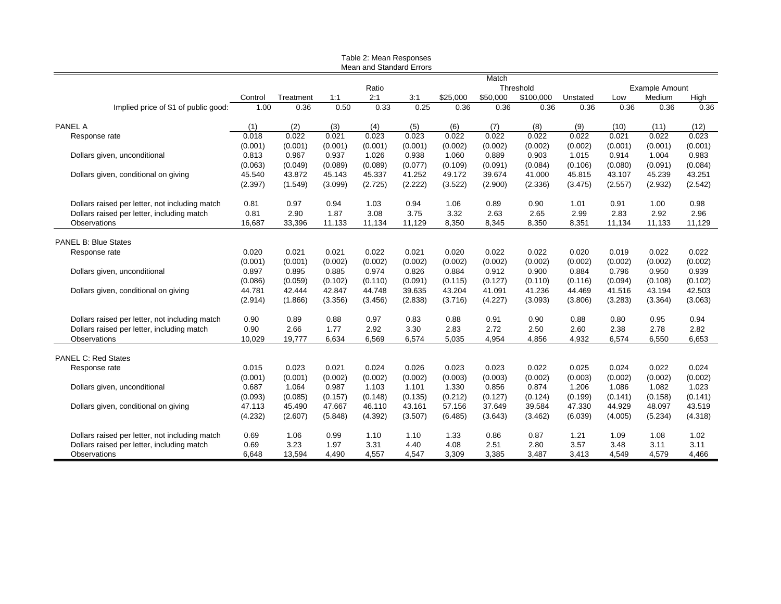|                                                |         |           |         | Table 2: Mean Responses<br>Mean and Standard Errors |         |          |          |           |          |         |                       |         |
|------------------------------------------------|---------|-----------|---------|-----------------------------------------------------|---------|----------|----------|-----------|----------|---------|-----------------------|---------|
|                                                |         |           |         |                                                     |         |          | Match    |           |          |         |                       |         |
|                                                |         |           |         | Ratio                                               |         |          |          | Threshold |          |         | <b>Example Amount</b> |         |
|                                                | Control | Treatment | 1:1     | 2:1                                                 | 3:1     | \$25,000 | \$50,000 | \$100,000 | Unstated | Low     | Medium                | High    |
| Implied price of \$1 of public good:           | 1.00    | 0.36      | 0.50    | 0.33                                                | 0.25    | 0.36     | 0.36     | 0.36      | 0.36     | 0.36    | 0.36                  | 0.36    |
| <b>PANEL A</b>                                 | (1)     | (2)       | (3)     | (4)                                                 | (5)     | (6)      | (7)      | (8)       | (9)      | (10)    | (11)                  | (12)    |
| Response rate                                  | 0.018   | 0.022     | 0.021   | 0.023                                               | 0.023   | 0.022    | 0.022    | 0.022     | 0.022    | 0.021   | 0.022                 | 0.023   |
|                                                | (0.001) | (0.001)   | (0.001) | (0.001)                                             | (0.001) | (0.002)  | (0.002)  | (0.002)   | (0.002)  | (0.001) | (0.001)               | (0.001) |
| Dollars given, unconditional                   | 0.813   | 0.967     | 0.937   | 1.026                                               | 0.938   | 1.060    | 0.889    | 0.903     | 1.015    | 0.914   | 1.004                 | 0.983   |
|                                                | (0.063) | (0.049)   | (0.089) | (0.089)                                             | (0.077) | (0.109)  | (0.091)  | (0.084)   | (0.106)  | (0.080) | (0.091)               | (0.084) |
| Dollars given, conditional on giving           | 45.540  | 43.872    | 45.143  | 45.337                                              | 41.252  | 49.172   | 39.674   | 41.000    | 45.815   | 43.107  | 45.239                | 43.251  |
|                                                | (2.397) | (1.549)   | (3.099) | (2.725)                                             | (2.222) | (3.522)  | (2.900)  | (2.336)   | (3.475)  | (2.557) | (2.932)               | (2.542) |
| Dollars raised per letter, not including match | 0.81    | 0.97      | 0.94    | 1.03                                                | 0.94    | 1.06     | 0.89     | 0.90      | 1.01     | 0.91    | 1.00                  | 0.98    |
| Dollars raised per letter, including match     | 0.81    | 2.90      | 1.87    | 3.08                                                | 3.75    | 3.32     | 2.63     | 2.65      | 2.99     | 2.83    | 2.92                  | 2.96    |
| Observations                                   | 16,687  | 33,396    | 11,133  | 11,134                                              | 11,129  | 8,350    | 8,345    | 8,350     | 8,351    | 11,134  | 11,133                | 11,129  |
| <b>PANEL B: Blue States</b>                    |         |           |         |                                                     |         |          |          |           |          |         |                       |         |
| Response rate                                  | 0.020   | 0.021     | 0.021   | 0.022                                               | 0.021   | 0.020    | 0.022    | 0.022     | 0.020    | 0.019   | 0.022                 | 0.022   |
|                                                | (0.001) | (0.001)   | (0.002) | (0.002)                                             | (0.002) | (0.002)  | (0.002)  | (0.002)   | (0.002)  | (0.002) | (0.002)               | (0.002) |
| Dollars given, unconditional                   | 0.897   | 0.895     | 0.885   | 0.974                                               | 0.826   | 0.884    | 0.912    | 0.900     | 0.884    | 0.796   | 0.950                 | 0.939   |
|                                                | (0.086) | (0.059)   | (0.102) | (0.110)                                             | (0.091) | (0.115)  | (0.127)  | (0.110)   | (0.116)  | (0.094) | (0.108)               | (0.102) |
| Dollars given, conditional on giving           | 44.781  | 42.444    | 42.847  | 44.748                                              | 39.635  | 43.204   | 41.091   | 41.236    | 44.469   | 41.516  | 43.194                | 42.503  |
|                                                | (2.914) | (1.866)   | (3.356) | (3.456)                                             | (2.838) | (3.716)  | (4.227)  | (3.093)   | (3.806)  | (3.283) | (3.364)               | (3.063) |
|                                                |         |           |         |                                                     |         |          |          |           |          |         |                       |         |
| Dollars raised per letter, not including match | 0.90    | 0.89      | 0.88    | 0.97                                                | 0.83    | 0.88     | 0.91     | 0.90      | 0.88     | 0.80    | 0.95                  | 0.94    |
| Dollars raised per letter, including match     | 0.90    | 2.66      | 1.77    | 2.92                                                | 3.30    | 2.83     | 2.72     | 2.50      | 2.60     | 2.38    | 2.78                  | 2.82    |
| <b>Observations</b>                            | 10,029  | 19,777    | 6,634   | 6,569                                               | 6,574   | 5,035    | 4.954    | 4.856     | 4,932    | 6,574   | 6,550                 | 6,653   |
| <b>PANEL C: Red States</b>                     |         |           |         |                                                     |         |          |          |           |          |         |                       |         |
| Response rate                                  | 0.015   | 0.023     | 0.021   | 0.024                                               | 0.026   | 0.023    | 0.023    | 0.022     | 0.025    | 0.024   | 0.022                 | 0.024   |
|                                                | (0.001) | (0.001)   | (0.002) | (0.002)                                             | (0.002) | (0.003)  | (0.003)  | (0.002)   | (0.003)  | (0.002) | (0.002)               | (0.002) |
| Dollars given, unconditional                   | 0.687   | 1.064     | 0.987   | 1.103                                               | 1.101   | 1.330    | 0.856    | 0.874     | 1.206    | 1.086   | 1.082                 | 1.023   |
|                                                | (0.093) | (0.085)   | (0.157) | (0.148)                                             | (0.135) | (0.212)  | (0.127)  | (0.124)   | (0.199)  | (0.141) | (0.158)               | (0.141) |
| Dollars given, conditional on giving           | 47.113  | 45.490    | 47.667  | 46.110                                              | 43.161  | 57.156   | 37.649   | 39.584    | 47.330   | 44.929  | 48.097                | 43.519  |
|                                                | (4.232) | (2.607)   | (5.848) | (4.392)                                             | (3.507) | (6.485)  | (3.643)  | (3.462)   | (6.039)  | (4.005) | (5.234)               | (4.318) |
| Dollars raised per letter, not including match | 0.69    | 1.06      | 0.99    | 1.10                                                | 1.10    | 1.33     | 0.86     | 0.87      | 1.21     | 1.09    | 1.08                  | 1.02    |
| Dollars raised per letter, including match     | 0.69    | 3.23      | 1.97    | 3.31                                                | 4.40    | 4.08     | 2.51     | 2.80      | 3.57     | 3.48    | 3.11                  | 3.11    |
| Observations                                   | 6,648   | 13,594    | 4,490   | 4,557                                               | 4,547   | 3,309    | 3,385    | 3,487     | 3,413    | 4,549   | 4,579                 | 4,466   |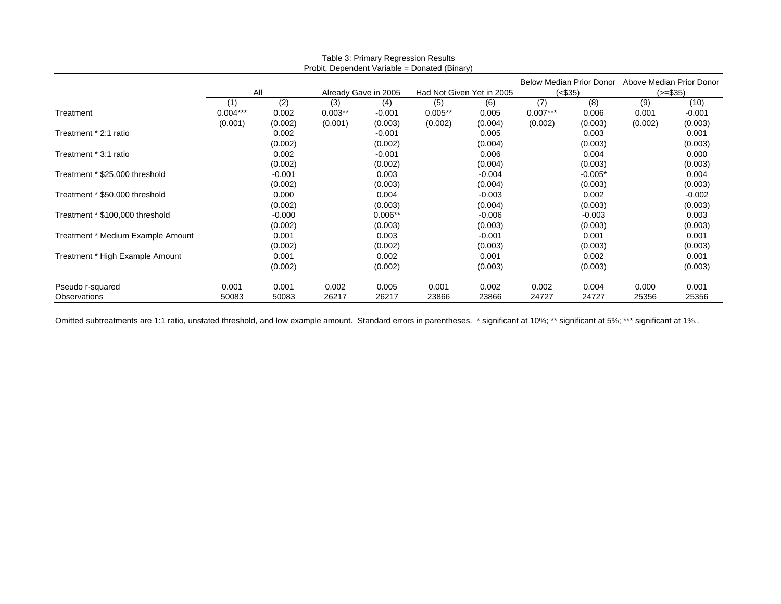| Probit, Dependent Variable = Donated (Binary) |            |          |                                 |                      |                           |          |                          |           |            |          |  |
|-----------------------------------------------|------------|----------|---------------------------------|----------------------|---------------------------|----------|--------------------------|-----------|------------|----------|--|
|                                               |            |          | <b>Below Median Prior Donor</b> |                      |                           |          | Above Median Prior Donor |           |            |          |  |
|                                               |            | All      |                                 | Already Gave in 2005 | Had Not Given Yet in 2005 |          | (<\$35)                  |           | $(>= $35)$ |          |  |
|                                               | [1]        | (2)      | (3)                             | (4)                  | (5)                       | (6)      | (7)                      | (8)       | (9)        | (10)     |  |
| Treatment                                     | $0.004***$ | 0.002    | $0.003**$                       | $-0.001$             | $0.005**$                 | 0.005    | $0.007***$               | 0.006     | 0.001      | $-0.001$ |  |
|                                               | (0.001)    | (0.002)  | (0.001)                         | (0.003)              | (0.002)                   | (0.004)  | (0.002)                  | (0.003)   | (0.002)    | (0.003)  |  |
| Treatment * 2:1 ratio                         |            | 0.002    |                                 | $-0.001$             |                           | 0.005    |                          | 0.003     |            | 0.001    |  |
|                                               |            | (0.002)  |                                 | (0.002)              |                           | (0.004)  |                          | (0.003)   |            | (0.003)  |  |
| Treatment * 3:1 ratio                         |            | 0.002    |                                 | $-0.001$             |                           | 0.006    |                          | 0.004     |            | 0.000    |  |
|                                               |            | (0.002)  |                                 | (0.002)              |                           | (0.004)  |                          | (0.003)   |            | (0.003)  |  |
| Treatment * \$25,000 threshold                |            | $-0.001$ |                                 | 0.003                |                           | $-0.004$ |                          | $-0.005*$ |            | 0.004    |  |
|                                               |            | (0.002)  |                                 | (0.003)              |                           | (0.004)  |                          | (0.003)   |            | (0.003)  |  |
| Treatment * \$50,000 threshold                |            | 0.000    |                                 | 0.004                |                           | $-0.003$ |                          | 0.002     |            | $-0.002$ |  |
|                                               |            | (0.002)  |                                 | (0.003)              |                           | (0.004)  |                          | (0.003)   |            | (0.003)  |  |
| Treatment * \$100,000 threshold               |            | $-0.000$ |                                 | $0.006**$            |                           | $-0.006$ |                          | $-0.003$  |            | 0.003    |  |
|                                               |            | (0.002)  |                                 | (0.003)              |                           | (0.003)  |                          | (0.003)   |            | (0.003)  |  |
| Treatment * Medium Example Amount             |            | 0.001    |                                 | 0.003                |                           | $-0.001$ |                          | 0.001     |            | 0.001    |  |
|                                               |            | (0.002)  |                                 | (0.002)              |                           | (0.003)  |                          | (0.003)   |            | (0.003)  |  |
| Treatment * High Example Amount               |            | 0.001    |                                 | 0.002                |                           | 0.001    |                          | 0.002     |            | 0.001    |  |
|                                               |            | (0.002)  |                                 | (0.002)              |                           | (0.003)  |                          | (0.003)   |            | (0.003)  |  |
| Pseudo r-squared                              | 0.001      | 0.001    | 0.002                           | 0.005                | 0.001                     | 0.002    | 0.002                    | 0.004     | 0.000      | 0.001    |  |
| Observations                                  | 50083      | 50083    | 26217                           | 26217                | 23866                     | 23866    | 24727                    | 24727     | 25356      | 25356    |  |

Table 3: Primary Regression Results

Omitted subtreatments are 1:1 ratio, unstated threshold, and low example amount. Standard errors in parentheses. \* significant at 10%; \*\* significant at 5%; \*\*\* significant at 1%..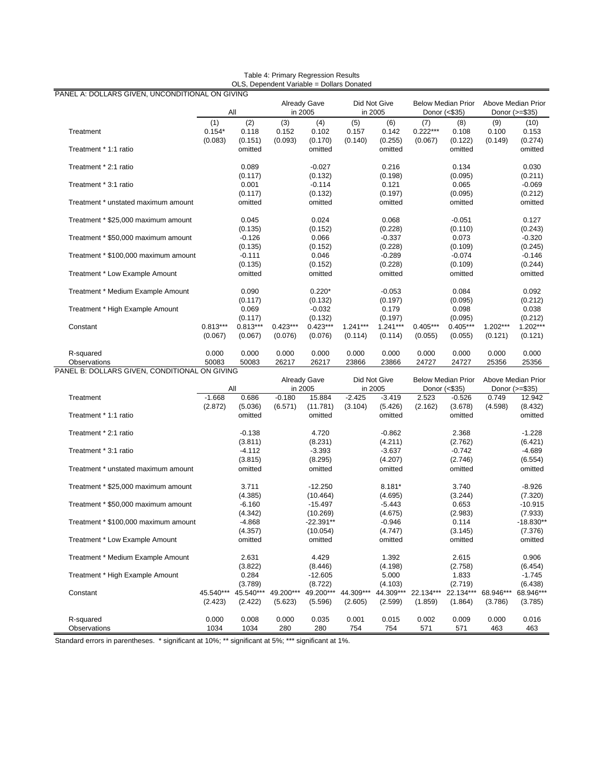|                                               | All        |            | <b>Already Gave</b><br>in 2005 |                     | Did Not Give<br>in 2005 |            | <b>Below Median Prior</b><br>Donor (<\$35) |                           | Above Median Prior<br>Donor (>=\$35) |            |
|-----------------------------------------------|------------|------------|--------------------------------|---------------------|-------------------------|------------|--------------------------------------------|---------------------------|--------------------------------------|------------|
|                                               | (1)        | (2)        | (3)                            | (4)                 | (5)                     | (6)        | (7)                                        | (8)                       | (9)                                  | (10)       |
| Treatment                                     | $0.154*$   | 0.118      | 0.152                          | 0.102               | 0.157                   | 0.142      | $0.222***$                                 | 0.108                     | 0.100                                | 0.153      |
|                                               | (0.083)    | (0.151)    | (0.093)                        | (0.170)             | (0.140)                 | (0.255)    | (0.067)                                    | (0.122)                   | (0.149)                              | (0.274)    |
| Treatment * 1:1 ratio                         |            | omitted    |                                | omitted             |                         | omitted    |                                            | omitted                   |                                      | omitted    |
| Treatment * 2:1 ratio                         |            | 0.089      |                                | $-0.027$            |                         | 0.216      |                                            | 0.134                     |                                      | 0.030      |
|                                               |            | (0.117)    |                                | (0.132)             |                         | (0.198)    |                                            | (0.095)                   |                                      | (0.211)    |
| Treatment * 3:1 ratio                         |            | 0.001      |                                | $-0.114$            |                         | 0.121      |                                            | 0.065                     |                                      | $-0.069$   |
|                                               |            | (0.117)    |                                | (0.132)             |                         | (0.197)    |                                            | (0.095)                   |                                      | (0.212)    |
| Treatment * unstated maximum amount           |            | omitted    |                                | omitted             |                         | omitted    |                                            | omitted                   |                                      | omitted    |
| Treatment * \$25,000 maximum amount           |            | 0.045      |                                | 0.024               |                         | 0.068      |                                            | $-0.051$                  |                                      | 0.127      |
|                                               |            | (0.135)    |                                | (0.152)             |                         | (0.228)    |                                            | (0.110)                   |                                      | (0.243)    |
| Treatment * \$50,000 maximum amount           |            | $-0.126$   |                                | 0.066               |                         | $-0.337$   |                                            | 0.073                     |                                      | $-0.320$   |
|                                               |            | (0.135)    |                                | (0.152)             |                         | (0.228)    |                                            | (0.109)                   |                                      | (0.245)    |
| Treatment * \$100,000 maximum amount          |            | $-0.111$   |                                | 0.046               |                         | $-0.289$   |                                            | $-0.074$                  |                                      | $-0.146$   |
|                                               |            | (0.135)    |                                | (0.152)             |                         | (0.228)    |                                            | (0.109)                   |                                      | (0.244)    |
| Treatment * Low Example Amount                |            | omitted    |                                | omitted             |                         | omitted    |                                            | omitted                   |                                      | omitted    |
| Treatment * Medium Example Amount             |            | 0.090      |                                | $0.220*$            |                         | $-0.053$   |                                            | 0.084                     |                                      | 0.092      |
|                                               |            | (0.117)    |                                | (0.132)             |                         | (0.197)    |                                            | (0.095)                   |                                      | (0.212)    |
| Treatment * High Example Amount               |            | 0.069      |                                | $-0.032$            |                         | 0.179      |                                            | 0.098                     |                                      | 0.038      |
|                                               |            | (0.117)    |                                | (0.132)             |                         | (0.197)    |                                            | (0.095)                   |                                      | (0.212)    |
| Constant                                      | $0.813***$ | $0.813***$ | $0.423***$                     | $0.423***$          | $1.241***$              | $1.241***$ | $0.405***$                                 | $0.405***$                | $1.202***$                           | $1.202***$ |
|                                               | (0.067)    | (0.067)    | (0.076)                        | (0.076)             | (0.114)                 | (0.114)    | (0.055)                                    | (0.055)                   | (0.121)                              | (0.121)    |
| R-squared                                     | 0.000      | 0.000      | 0.000                          | 0.000               | 0.000                   | 0.000      | 0.000                                      | 0.000                     | 0.000                                | 0.000      |
| Observations                                  | 50083      | 50083      | 26217                          | 26217               | 23866                   | 23866      | 24727                                      | 24727                     | 25356                                | 25356      |
| PANEL B: DOLLARS GIVEN, CONDITIONAL ON GIVING |            |            |                                | <b>Already Gave</b> | Did Not Give            |            |                                            | <b>Below Median Prior</b> | Above Median Prior                   |            |

| Table 4: Primary Regression Results       |
|-------------------------------------------|
| OLS, Dependent Variable = Dollars Donated |

|                                      | All       |                    | <b>Already Gave</b><br>in 2005 |                     | Did Not Give<br>in 2005 |                    | <b>Below Median Prior</b><br>Donor (<\$35) |                    | Above Median Prior<br>Donor (>=\$35) |                    |
|--------------------------------------|-----------|--------------------|--------------------------------|---------------------|-------------------------|--------------------|--------------------------------------------|--------------------|--------------------------------------|--------------------|
| Treatment                            | $-1.668$  | 0.686              | $-0.180$                       | 15.884              | $-2.425$                | $-3.419$           | 2.523                                      | $-0.526$           | 0.749                                | 12.942             |
| Treatment * 1:1 ratio                | (2.872)   | (5.036)<br>omitted | (6.571)                        | (11.781)<br>omitted | (3.104)                 | (5.426)<br>omitted | (2.162)                                    | (3.678)<br>omitted | (4.598)                              | (8.432)<br>omitted |
|                                      |           |                    |                                |                     |                         |                    |                                            |                    |                                      |                    |
| Treatment * 2:1 ratio                |           | $-0.138$           |                                | 4.720               |                         | $-0.862$           |                                            | 2.368              |                                      | $-1.228$           |
|                                      |           | (3.811)            |                                | (8.231)             |                         | (4.211)            |                                            | (2.762)            |                                      | (6.421)            |
| Treatment * 3:1 ratio                |           | $-4.112$           |                                | $-3.393$            |                         | $-3.637$           |                                            | $-0.742$           |                                      | $-4.689$           |
|                                      |           | (3.815)            |                                | (8.295)             |                         | (4.207)            |                                            | (2.746)            |                                      | (6.554)            |
| Treatment * unstated maximum amount  |           | omitted            |                                | omitted             |                         | omitted            |                                            | omitted            |                                      | omitted            |
| Treatment * \$25,000 maximum amount  |           | 3.711              |                                | $-12.250$           |                         | $8.181*$           |                                            | 3.740              |                                      | $-8.926$           |
|                                      |           | (4.385)            |                                | (10.464)            |                         | (4.695)            |                                            | (3.244)            |                                      | (7.320)            |
| Treatment * \$50.000 maximum amount  |           | $-6.160$           |                                | $-15.497$           |                         | $-5.443$           |                                            | 0.653              |                                      | $-10.915$          |
|                                      |           | (4.342)            |                                | (10.269)            |                         | (4.675)            |                                            | (2.983)            |                                      | (7.933)            |
| Treatment * \$100,000 maximum amount |           | $-4.868$           |                                | $-22.391**$         |                         | $-0.946$           |                                            | 0.114              |                                      | $-18.830**$        |
|                                      |           | (4.357)            |                                | (10.054)            |                         | (4.747)            |                                            | (3.145)            |                                      | (7.376)            |
| Treatment * Low Example Amount       |           | omitted            |                                | omitted             |                         | omitted            |                                            | omitted            |                                      | omitted            |
| Treatment * Medium Example Amount    |           | 2.631              |                                | 4.429               |                         | 1.392              |                                            | 2.615              |                                      | 0.906              |
|                                      |           | (3.822)            |                                | (8.446)             |                         | (4.198)            |                                            | (2.758)            |                                      | (6.454)            |
| Treatment * High Example Amount      |           | 0.284              |                                | $-12.605$           |                         | 5.000              |                                            | 1.833              |                                      | $-1.745$           |
|                                      |           | (3.789)            |                                | (8.722)             |                         | (4.103)            |                                            | (2.719)            |                                      | (6.438)            |
| Constant                             | 45.540*** | 45.540***          | 49.200***                      | 49.200***           | 44.309***               | 44.309***          | 22.134***                                  | 22.134***          | 68.946***                            | 68.946***          |
|                                      | (2.423)   | (2.422)            | (5.623)                        | (5.596)             | (2.605)                 | (2.599)            | (1.859)                                    | (1.864)            | (3.786)                              | (3.785)            |
| R-squared                            | 0.000     | 0.008              | 0.000                          | 0.035               | 0.001                   | 0.015              | 0.002                                      | 0.009              | 0.000                                | 0.016              |
| Observations                         | 1034      | 1034               | 280                            | 280                 | 754                     | 754                | 571                                        | 571                | 463                                  | 463                |

Standard errors in parentheses. \* significant at 10%; \*\* significant at 5%; \*\*\* significant at 1%.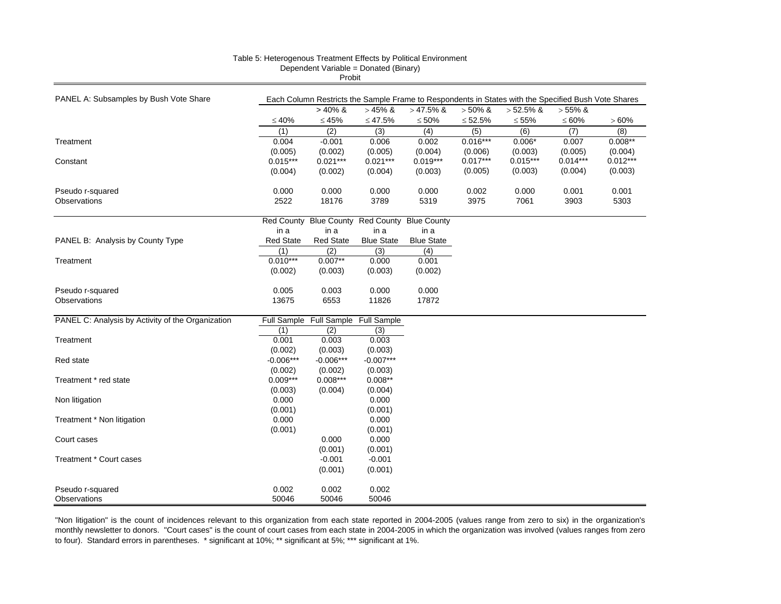|                                                   |                                                                                                     | <b>LIQDII</b>                       |                   |                    |                       |                       |                       |                       |  |  |  |  |
|---------------------------------------------------|-----------------------------------------------------------------------------------------------------|-------------------------------------|-------------------|--------------------|-----------------------|-----------------------|-----------------------|-----------------------|--|--|--|--|
|                                                   | Each Column Restricts the Sample Frame to Respondents in States with the Specified Bush Vote Shares |                                     |                   |                    |                       |                       |                       |                       |  |  |  |  |
| PANEL A: Subsamples by Bush Vote Share            |                                                                                                     | $> 40\%$ &                          |                   |                    | $> 50\%$ &            |                       |                       |                       |  |  |  |  |
|                                                   |                                                                                                     |                                     | $>45\%$ &         | $>47.5\%$ &        |                       | $>52.5\%$ &           | $> 55\%$ &            |                       |  |  |  |  |
|                                                   | $\leq 40\%$                                                                                         | $\leq 45\%$                         | $≤ 47.5%$         | $\leq 50\%$        | $\leq 52.5\%$         | $\leq 55\%$           | $\leq 60\%$           | >60%                  |  |  |  |  |
|                                                   | (1)                                                                                                 | (2)                                 | (3)               | (4)                | (5)                   | (6)                   | (7)                   | (8)                   |  |  |  |  |
| Treatment                                         | 0.004                                                                                               | $-0.001$                            | 0.006             | 0.002              | $0.016***$            | $0.006*$              | 0.007                 | $0.008**$             |  |  |  |  |
|                                                   | (0.005)                                                                                             | (0.002)                             | (0.005)           | (0.004)            | (0.006)<br>$0.017***$ | (0.003)<br>$0.015***$ | (0.005)<br>$0.014***$ | (0.004)<br>$0.012***$ |  |  |  |  |
| Constant                                          | $0.015***$                                                                                          | $0.021***$                          | $0.021***$        | $0.019***$         |                       |                       |                       |                       |  |  |  |  |
|                                                   | (0.004)                                                                                             | (0.002)                             | (0.004)           | (0.003)            | (0.005)               | (0.003)               | (0.004)               | (0.003)               |  |  |  |  |
| Pseudo r-squared                                  | 0.000                                                                                               | 0.000                               | 0.000             | 0.000              | 0.002                 | 0.000                 | 0.001                 | 0.001                 |  |  |  |  |
| <b>Observations</b>                               | 2522                                                                                                | 18176                               | 3789              | 5319               | 3975                  | 7061                  | 3903                  | 5303                  |  |  |  |  |
|                                                   |                                                                                                     |                                     |                   |                    |                       |                       |                       |                       |  |  |  |  |
|                                                   | <b>Red County</b>                                                                                   | <b>Blue County</b>                  | <b>Red County</b> | <b>Blue County</b> |                       |                       |                       |                       |  |  |  |  |
|                                                   | in a                                                                                                | in a                                | in a              | in a               |                       |                       |                       |                       |  |  |  |  |
| PANEL B: Analysis by County Type                  | <b>Red State</b>                                                                                    | <b>Red State</b>                    | <b>Blue State</b> | <b>Blue State</b>  |                       |                       |                       |                       |  |  |  |  |
|                                                   | (1)                                                                                                 | (2)                                 | (3)               | (4)                |                       |                       |                       |                       |  |  |  |  |
| Treatment                                         | $0.010***$                                                                                          | $0.007**$                           | 0.000             | 0.001              |                       |                       |                       |                       |  |  |  |  |
|                                                   | (0.002)                                                                                             | (0.003)                             | (0.003)           | (0.002)            |                       |                       |                       |                       |  |  |  |  |
| Pseudo r-squared                                  | 0.005                                                                                               | 0.003                               | 0.000             | 0.000              |                       |                       |                       |                       |  |  |  |  |
| Observations                                      | 13675                                                                                               | 6553                                | 11826             | 17872              |                       |                       |                       |                       |  |  |  |  |
|                                                   |                                                                                                     |                                     |                   |                    |                       |                       |                       |                       |  |  |  |  |
| PANEL C: Analysis by Activity of the Organization |                                                                                                     | Full Sample Full Sample Full Sample |                   |                    |                       |                       |                       |                       |  |  |  |  |
|                                                   | (1)                                                                                                 | (2)                                 | (3)               |                    |                       |                       |                       |                       |  |  |  |  |
| Treatment                                         | 0.001                                                                                               | 0.003                               | 0.003             |                    |                       |                       |                       |                       |  |  |  |  |
|                                                   | (0.002)                                                                                             | (0.003)                             | (0.003)           |                    |                       |                       |                       |                       |  |  |  |  |
| Red state                                         | $-0.006***$                                                                                         | $-0.006***$                         | $-0.007***$       |                    |                       |                       |                       |                       |  |  |  |  |
|                                                   | (0.002)                                                                                             | (0.002)                             | (0.003)           |                    |                       |                       |                       |                       |  |  |  |  |
| Treatment * red state                             | $0.009***$                                                                                          | $0.008***$                          | $0.008**$         |                    |                       |                       |                       |                       |  |  |  |  |
|                                                   | (0.003)                                                                                             | (0.004)                             | (0.004)           |                    |                       |                       |                       |                       |  |  |  |  |
| Non litigation                                    | 0.000                                                                                               |                                     | 0.000             |                    |                       |                       |                       |                       |  |  |  |  |
|                                                   | (0.001)                                                                                             |                                     | (0.001)           |                    |                       |                       |                       |                       |  |  |  |  |
| Treatment * Non litigation                        | 0.000                                                                                               |                                     | 0.000             |                    |                       |                       |                       |                       |  |  |  |  |
|                                                   | (0.001)                                                                                             |                                     | (0.001)           |                    |                       |                       |                       |                       |  |  |  |  |
| Court cases                                       |                                                                                                     | 0.000                               | 0.000             |                    |                       |                       |                       |                       |  |  |  |  |
|                                                   |                                                                                                     | (0.001)                             | (0.001)           |                    |                       |                       |                       |                       |  |  |  |  |
| Treatment * Court cases                           |                                                                                                     | $-0.001$                            | $-0.001$          |                    |                       |                       |                       |                       |  |  |  |  |
|                                                   |                                                                                                     | (0.001)                             | (0.001)           |                    |                       |                       |                       |                       |  |  |  |  |
|                                                   |                                                                                                     |                                     |                   |                    |                       |                       |                       |                       |  |  |  |  |
| Pseudo r-squared                                  | 0.002                                                                                               | 0.002                               | 0.002             |                    |                       |                       |                       |                       |  |  |  |  |
| Observations                                      | 50046                                                                                               | 50046                               | 50046             |                    |                       |                       |                       |                       |  |  |  |  |

#### Table 5: Heterogenous Treatment Effects by Political Environment

Dependent Variable = Donated (Binary)

Probit

"Non litigation" is the count of incidences relevant to this organization from each state reported in 2004-2005 (values range from zero to six) in the organization's monthly newsletter to donors. "Court cases" is the count of court cases from each state in 2004-2005 in which the organization was involved (values ranges from zero to four). Standard errors in parentheses. \* significant at 10%; \*\* significant at 5%; \*\*\* significant at 1%.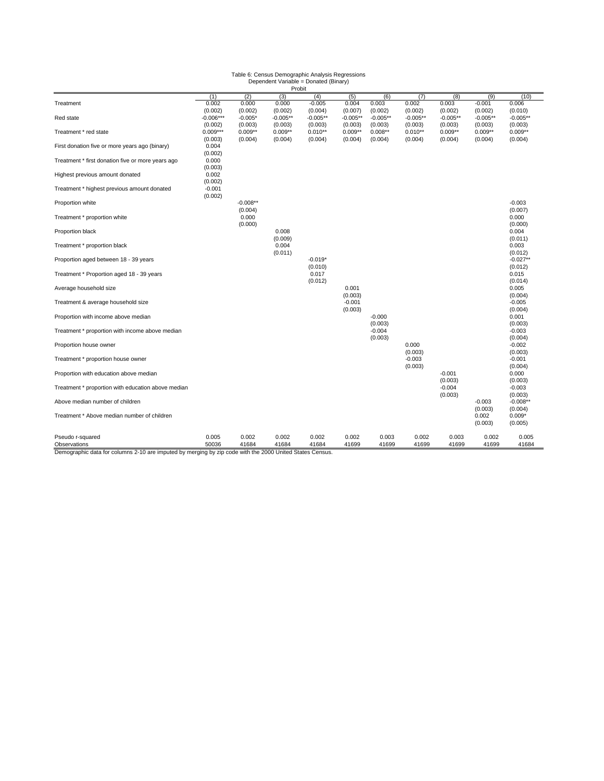# Table 6: Census Demographic Analysis Regressions Dependent Variable = Donated (Binary) Probit

|                                                    | (1)                    | (2)                  | (3)                   | (4)                   | (5)                   | (6)                   | (7)                   | (8)                   | (9)                   | (10)                  |
|----------------------------------------------------|------------------------|----------------------|-----------------------|-----------------------|-----------------------|-----------------------|-----------------------|-----------------------|-----------------------|-----------------------|
| Treatment                                          | 0.002                  | 0.000                | 0.000                 | $-0.005$              | 0.004                 | 0.003                 | 0.002                 | 0.003                 | $-0.001$              | 0.006                 |
|                                                    | (0.002)                | (0.002)              | (0.002)               | (0.004)               | (0.007)               | (0.002)               | (0.002)               | (0.002)               | (0.002)               | (0.010)               |
| Red state                                          | $-0.006***$<br>(0.002) | $-0.005*$<br>(0.003) | $-0.005**$<br>(0.003) | $-0.005**$<br>(0.003) | $-0.005**$<br>(0.003) | $-0.005**$<br>(0.003) | $-0.005**$<br>(0.003) | $-0.005**$<br>(0.003) | $-0.005**$<br>(0.003) | $-0.005**$<br>(0.003) |
| Treatment * red state                              | $0.009***$             | $0.009**$            | $0.009**$             | $0.010**$             | $0.009**$             | $0.008**$             | $0.010**$             | $0.009**$             | $0.009**$             | $0.009**$             |
|                                                    | (0.003)                | (0.004)              | (0.004)               | (0.004)               | (0.004)               | (0.004)               | (0.004)               | (0.004)               | (0.004)               | (0.004)               |
| First donation five or more years ago (binary)     | 0.004                  |                      |                       |                       |                       |                       |                       |                       |                       |                       |
|                                                    | (0.002)                |                      |                       |                       |                       |                       |                       |                       |                       |                       |
| Treatment * first donation five or more years ago  | 0.000                  |                      |                       |                       |                       |                       |                       |                       |                       |                       |
| Highest previous amount donated                    | (0.003)<br>0.002       |                      |                       |                       |                       |                       |                       |                       |                       |                       |
|                                                    | (0.002)                |                      |                       |                       |                       |                       |                       |                       |                       |                       |
| Treatment * highest previous amount donated        | $-0.001$               |                      |                       |                       |                       |                       |                       |                       |                       |                       |
|                                                    | (0.002)                |                      |                       |                       |                       |                       |                       |                       |                       |                       |
| Proportion white                                   |                        | $-0.008**$           |                       |                       |                       |                       |                       |                       |                       | $-0.003$              |
|                                                    |                        | (0.004)              |                       |                       |                       |                       |                       |                       |                       | (0.007)               |
| Treatment * proportion white                       |                        | 0.000<br>(0.000)     |                       |                       |                       |                       |                       |                       |                       | 0.000<br>(0.000)      |
| Proportion black                                   |                        |                      | 0.008                 |                       |                       |                       |                       |                       |                       | 0.004                 |
|                                                    |                        |                      | (0.009)               |                       |                       |                       |                       |                       |                       | (0.011)               |
| Treatment * proportion black                       |                        |                      | 0.004                 |                       |                       |                       |                       |                       |                       | 0.003                 |
|                                                    |                        |                      | (0.011)               |                       |                       |                       |                       |                       |                       | (0.012)               |
| Proportion aged between 18 - 39 years              |                        |                      |                       | $-0.019*$             |                       |                       |                       |                       |                       | $-0.027**$            |
| Treatment * Proportion aged 18 - 39 years          |                        |                      |                       | (0.010)<br>0.017      |                       |                       |                       |                       |                       | (0.012)<br>0.015      |
|                                                    |                        |                      |                       | (0.012)               |                       |                       |                       |                       |                       | (0.014)               |
| Average household size                             |                        |                      |                       |                       | 0.001                 |                       |                       |                       |                       | 0.005                 |
|                                                    |                        |                      |                       |                       | (0.003)               |                       |                       |                       |                       | (0.004)               |
| Treatment & average household size                 |                        |                      |                       |                       | $-0.001$              |                       |                       |                       |                       | $-0.005$              |
|                                                    |                        |                      |                       |                       | (0.003)               |                       |                       |                       |                       | (0.004)               |
| Proportion with income above median                |                        |                      |                       |                       |                       | $-0.000$<br>(0.003)   |                       |                       |                       | 0.001<br>(0.003)      |
| Treatment * proportion with income above median    |                        |                      |                       |                       |                       | $-0.004$              |                       |                       |                       | $-0.003$              |
|                                                    |                        |                      |                       |                       |                       | (0.003)               |                       |                       |                       | (0.004)               |
| Proportion house owner                             |                        |                      |                       |                       |                       |                       | 0.000                 |                       |                       | $-0.002$              |
|                                                    |                        |                      |                       |                       |                       |                       | (0.003)               |                       |                       | (0.003)               |
| Treatment * proportion house owner                 |                        |                      |                       |                       |                       |                       | $-0.003$              |                       |                       | $-0.001$              |
| Proportion with education above median             |                        |                      |                       |                       |                       |                       | (0.003)               | $-0.001$              |                       | (0.004)<br>0.000      |
|                                                    |                        |                      |                       |                       |                       |                       |                       | (0.003)               |                       | (0.003)               |
| Treatment * proportion with education above median |                        |                      |                       |                       |                       |                       |                       | $-0.004$              |                       | $-0.003$              |
|                                                    |                        |                      |                       |                       |                       |                       |                       | (0.003)               |                       | (0.003)               |
| Above median number of children                    |                        |                      |                       |                       |                       |                       |                       |                       | $-0.003$              | $-0.008**$            |
|                                                    |                        |                      |                       |                       |                       |                       |                       |                       | (0.003)               | (0.004)               |
| Treatment * Above median number of children        |                        |                      |                       |                       |                       |                       |                       |                       | 0.002<br>(0.003)      | $0.009*$<br>(0.005)   |
|                                                    |                        |                      |                       |                       |                       |                       |                       |                       |                       |                       |
| Pseudo r-squared                                   | 0.005                  | 0.002                | 0.002                 | 0.002                 | 0.002                 | 0.003                 | 0.002                 | 0.003                 | 0.002                 | 0.005                 |
| Observations                                       | 50036                  | 41684                | 41684                 | 41684                 | 41699                 | 41699                 | 41699                 | 41699                 | 41699                 | 41684                 |

Demographic data for columns 2-10 are imputed by merging by zip code with the 2000 United States Census.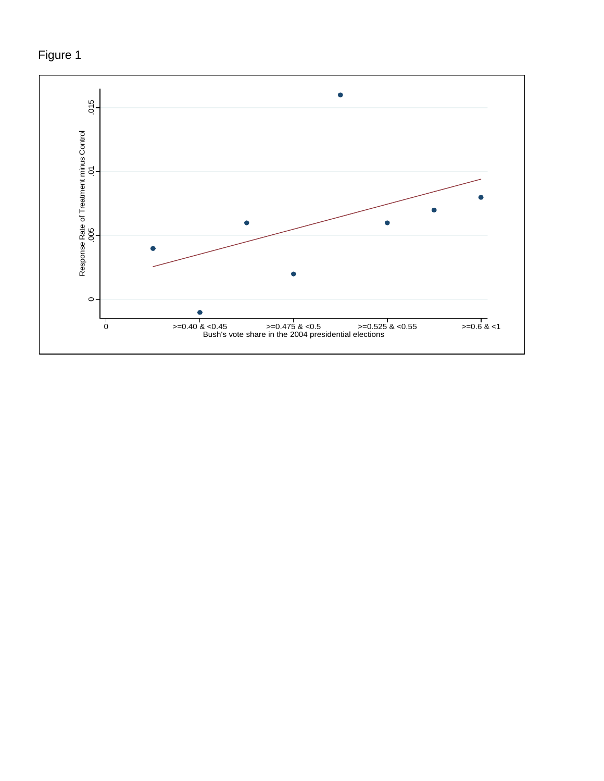